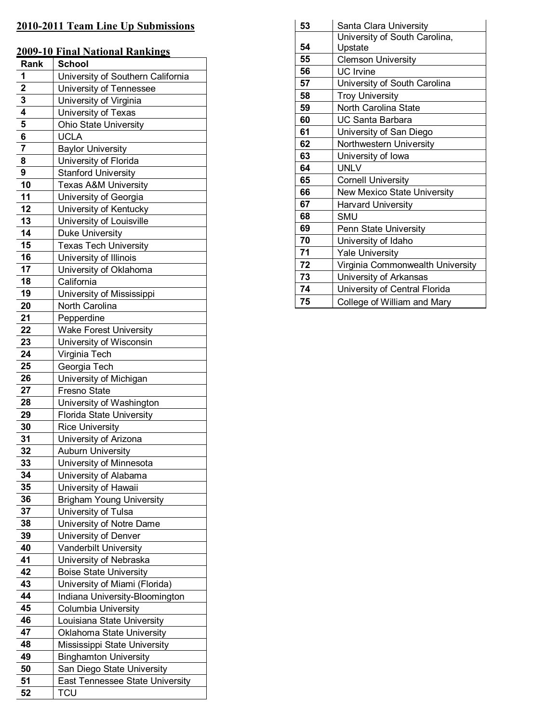# 2010-2011 Team Line Up Submissions

|  | 2009-10 Final National Rankings |
|--|---------------------------------|
|  |                                 |

| 70 V Z         | <u>mai i vativitat ivalining</u>  |
|----------------|-----------------------------------|
| Rank           | School                            |
| 1              | University of Southern California |
| $\overline{2}$ | University of Tennessee           |
| 3              | University of Virginia            |
| 4              | University of Texas               |
| 5              | <b>Ohio State University</b>      |
| 6              | <b>UCLA</b>                       |
| 7              | <b>Baylor University</b>          |
| 8              | University of Florida             |
| 9              | <b>Stanford University</b>        |
| 10             | <b>Texas A&amp;M University</b>   |
| 11             | University of Georgia             |
| 12             | University of Kentucky            |
| 13             | University of Louisville          |
| 14             | Duke University                   |
| 15             | <b>Texas Tech University</b>      |
| 16             | University of Illinois            |
| 17             | University of Oklahoma            |
| 18             | California                        |
| 19             | University of Mississippi         |
| 20             | North Carolina                    |
| 21             | Pepperdine                        |
| 22             | <b>Wake Forest University</b>     |
| 23             | University of Wisconsin           |
| 24             | Virginia Tech                     |
| 25             | Georgia Tech                      |
| 26             | University of Michigan            |
| 27             | Fresno State                      |
| 28             | University of Washington          |
| 29             | <b>Florida State University</b>   |
| 30             | <b>Rice University</b>            |
| 31             | University of Arizona             |
| 32             | <b>Auburn University</b>          |
| 33             | University of Minnesota           |
| 34             | University of Alabama             |
| 35             | University of Hawaii              |
| 36             | <b>Brigham Young University</b>   |
| 37             | University of Tulsa               |
| 38             | University of Notre Dame          |
| 39             | University of Denver              |
| 40             | Vanderbilt University             |
| 41             | University of Nebraska            |
| 42             | <b>Boise State University</b>     |
| 43             | University of Miami (Florida)     |
| 44             | Indiana University-Bloomington    |
| 45             | <b>Columbia University</b>        |
| 46             | Louisiana State University        |
| 47             | Oklahoma State University         |
| 48             | Mississippi State University      |
| 49             | <b>Binghamton University</b>      |
| 50             | San Diego State University        |
| 51             | East Tennessee State University   |
| 52             | <b>TCU</b>                        |

| 53 | Santa Clara University           |
|----|----------------------------------|
|    | University of South Carolina,    |
| 54 | Upstate                          |
| 55 | <b>Clemson University</b>        |
| 56 | <b>UC</b> Irvine                 |
| 57 | University of South Carolina     |
| 58 | <b>Troy University</b>           |
| 59 | North Carolina State             |
| 60 | UC Santa Barbara                 |
| 61 | University of San Diego          |
| 62 | Northwestern University          |
| 63 | University of Iowa               |
| 64 | <b>UNLV</b>                      |
| 65 | <b>Cornell University</b>        |
| 66 | New Mexico State University      |
| 67 | <b>Harvard University</b>        |
| 68 | SMU                              |
| 69 | Penn State University            |
| 70 | University of Idaho              |
| 71 | <b>Yale University</b>           |
| 72 | Virginia Commonwealth University |
| 73 | University of Arkansas           |
| 74 | University of Central Florida    |
| 75 | College of William and Mary      |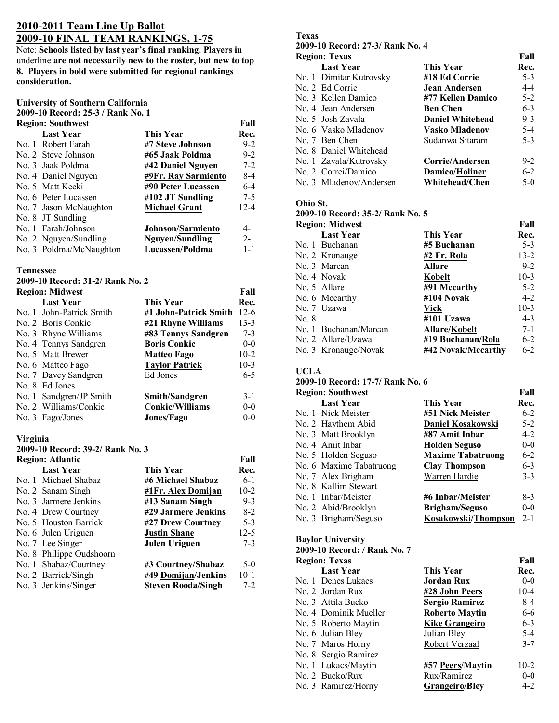# **2010-2011 Team Line Up Ballot 2009-10 FINAL TEAM RANKINGS, 1-75**

Note: **Schools listed by last year's final ranking. Players in**  underline **are not necessarily new to the roster, but new to top 8. Players in bold were submitted for regional rankings consideration.** 

### **University of Southern California**

**2009-10 Record: 25-3 / Rank No. 1** 

|                  | <b>Region: Southwest</b> |                          | Fall     |
|------------------|--------------------------|--------------------------|----------|
|                  | <b>Last Year</b>         | This Year                | Rec.     |
|                  | No. 1 Robert Farah       | #7 Steve Johnson         | $9 - 2$  |
|                  | No. 2 Steve Johnson      | #65 Jaak Poldma          | $9 - 2$  |
|                  | No. 3 Jaak Poldma        | #42 Daniel Nguyen        | $7 - 2$  |
|                  | No. 4 Daniel Nguyen      | #9Fr. Ray Sarmiento      | $8-4$    |
| No. 5 Matt Kecki |                          | #90 Peter Lucassen       | $6-4$    |
|                  | No. 6 Peter Lucassen     | #102 JT Sundling         | $7-5$    |
|                  | No. 7 Jason McNaughton   | <b>Michael Grant</b>     | $12 - 4$ |
|                  | No. 8 JT Sundling        |                          |          |
|                  | No. 1 Farah/Johnson      | <b>Johnson/Sarmiento</b> | 4-1      |
|                  | No. 2 Nguyen/Sundling    | <b>Nguyen/Sundling</b>   | $2 - 1$  |
|                  | No. 3 Poldma/McNaughton  | Lucassen/Poldma          | $1 - 1$  |

#### **Tennessee**

**2009-10 Record: 31-2/ Rank No. 2** 

| <b>Region: Midwest</b> |                          |                        | Fall    |
|------------------------|--------------------------|------------------------|---------|
|                        | <b>Last Year</b>         | <b>This Year</b>       | Rec.    |
|                        | No. 1 John-Patrick Smith | #1 John-Patrick Smith  | $12-6$  |
|                        | No. 2 Boris Conkic       | #21 Rhyne Williams     | $13-3$  |
|                        | No. 3 Rhyne Williams     | #83 Tennys Sandgren    | $7 - 3$ |
|                        | No. 4 Tennys Sandgren    | <b>Boris Conkic</b>    | $0-0$   |
|                        | No. 5 Matt Brewer        | Matteo Fago            | $10-2$  |
|                        | No. 6 Matteo Fago        | <b>Taylor Patrick</b>  | $10-3$  |
|                        | No. 7 Davey Sandgren     | Ed Jones               | $6 - 5$ |
|                        | No. 8 Ed Jones           |                        |         |
|                        | No. 1 Sandgren/JP Smith  | <b>Smith/Sandgren</b>  | $3 - 1$ |
|                        | No. 2 Williams/Conkic    | <b>Conkic/Williams</b> | $0-0$   |
|                        | No. 3 Fago/Jones         | <b>Jones/Fago</b>      | $0 - 0$ |

#### **Virginia**

**2009-10 Record: 39-2/ Rank No. 3** 

| Fall     |
|----------|
| Rec.     |
| $6-1$    |
| $10-2$   |
| $9 - 3$  |
| $8-2$    |
| $5 - 3$  |
| $12 - 5$ |
| $7 - 3$  |
|          |
| $5-0$    |
| $10-1$   |
| $7-2$    |
|          |

# **Texas**<br>2000-10 P

| 2009-10 Record: 27-3/ Rank No. 4 |                         |                         |         |
|----------------------------------|-------------------------|-------------------------|---------|
|                                  | <b>Region: Texas</b>    |                         | Fall    |
|                                  | <b>Last Year</b>        | This Year               | Rec.    |
|                                  | No. 1 Dimitar Kutrovsky | #18 Ed Corrie           | $5-3$   |
|                                  | No. 2 Ed Corrie         | Jean Andersen           | $4 - 4$ |
|                                  | No. 3 Kellen Damico     | #77 Kellen Damico       | $5-2$   |
|                                  | No. 4 Jean Andersen     | <b>Ben Chen</b>         | $6 - 3$ |
|                                  | No. 5 Josh Zavala       | <b>Daniel Whitehead</b> | $9 - 3$ |
|                                  | No. 6 Vasko Mladenov    | <b>Vasko Mladenov</b>   | $5 - 4$ |
|                                  | No. 7 Ben Chen          | Sudanwa Sitaram         | $5 - 3$ |
|                                  | No. 8 Daniel Whitehead  |                         |         |
|                                  | No. 1 Zavala/Kutrovsky  | Corrie/Andersen         | $9-2$   |
|                                  | No. 2 Correi/Damico     | <b>Damico/Holiner</b>   | $6-2$   |
|                                  | No. 3 Mladenov/Andersen | Whitehead/Chen          | $5-0$   |

#### **Ohio St.**

| 2009-10 Record: 35-2/ Rank No. 5 |                        |                      |          |
|----------------------------------|------------------------|----------------------|----------|
|                                  | <b>Region: Midwest</b> |                      | Fall     |
|                                  | <b>Last Year</b>       | <b>This Year</b>     | Rec.     |
|                                  | No. 1 Buchanan         | #5 Buchanan          | $5 - 3$  |
|                                  | No. 2 Kronauge         | #2 Fr. Rola          | $13 - 2$ |
|                                  | No. 3 Marcan           | <b>Allare</b>        | $9 - 2$  |
|                                  | No. 4 Novak            | Kobelt               | $10-3$   |
|                                  | No. 5 Allare           | #91 Mccarthy         | $5 - 2$  |
|                                  | No. 6 Mccarthy         | #104 Novak           | $4 - 2$  |
|                                  | No. 7 Uzawa            | Vick                 | $10-3$   |
| No. 8                            |                        | #101 Uzawa           | $4 - 3$  |
|                                  | No. 1 Buchanan/Marcan  | <b>Allare/Kobelt</b> | $7-1$    |
|                                  | No. 2 Allare/Uzawa     | #19 Buchanan/Rola    | $6-2$    |
|                                  | No. 3 Kronauge/Novak   | #42 Novak/Mccarthy   | $6 - 2$  |

#### **UCLA**

**2009-10 Record: 17-7/ Rank No. 6** 

| Fall<br><b>Region: Southwest</b> |                          |         |
|----------------------------------|--------------------------|---------|
| <b>Last Year</b>                 | <b>This Year</b>         | Rec.    |
| No. 1 Nick Meister               | #51 Nick Meister         | $6 - 2$ |
| No. 2 Haythem Abid               | Daniel Kosakowski        | $5-2$   |
| No. 3 Matt Brooklyn              | #87 Amit Inbar           | 4-2     |
| No. 4 Amit Inbar                 | <b>Holden Seguso</b>     | $0-0$   |
| No. 5 Holden Seguso              | <b>Maxime Tabatruong</b> | $6 - 2$ |
| No. 6 Maxime Tabatruong          | <b>Clay Thompson</b>     | $6 - 3$ |
| No. 7 Alex Brigham               | Warren Hardie            | $3 - 3$ |
| No. 8 Kallim Stewart             |                          |         |
| No. 1 Inbar/Meister              | #6 Inbar/Meister         | 8-3     |
| No. 2 Abid/Brooklyn              | <b>Brigham/Seguso</b>    | $0-0$   |
| No. 3 Brigham/Seguso             | Kosakowski/Thompson      | $2 - 1$ |

#### **Baylor University**

| 2009-10 Record: / Rank No. 7 |                       |         |
|------------------------------|-----------------------|---------|
| <b>Region: Texas</b>         |                       | Fall    |
| <b>Last Year</b>             | <b>This Year</b>      | Rec.    |
| No. 1 Denes Lukacs           | Jordan Rux            | $0 - 0$ |
| No. 2 Jordan Rux             | #28 John Peers        | $10-4$  |
| No. 3 Attila Bucko           | Sergio Ramirez        | 8-4     |
| No. 4 Dominik Mueller        | <b>Roberto Maytin</b> | 6-6     |
| No. 5 Roberto Maytin         | <b>Kike Grangeiro</b> | $6 - 3$ |
| No. 6 Julian Bley            | Julian Bley           | $5-4$   |
| No. 7 Maros Horny            | Robert Verzaal        | $3 - 7$ |
| No. 8 Sergio Ramirez         |                       |         |
| No. 1 Lukacs/Maytin          | #57 Peers/Maytin      | $10-2$  |
| No. 2 Bucko/Rux              | Rux/Ramirez           | $0-0$   |
| No. 3 Ramirez/Horny          | <b>Grangeiro/Bley</b> | $4 - 2$ |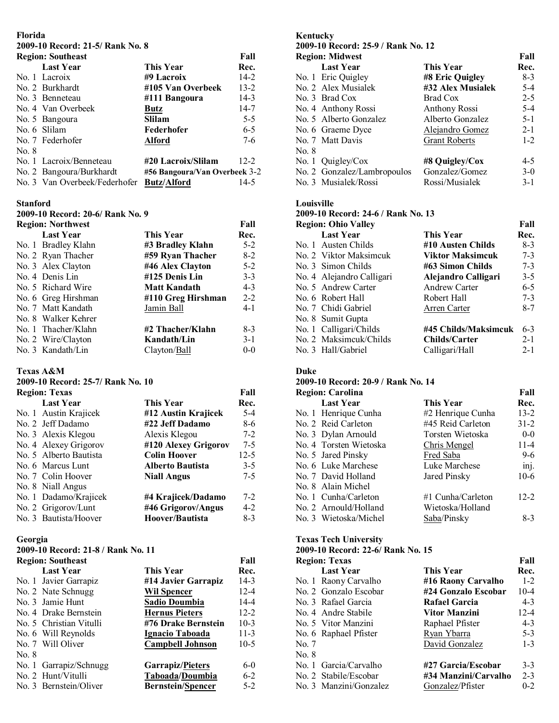# **Florida**

# **2009-10 Record: 21-5/ Rank No. 8**

|       | <b>Region: Southeast</b>      |                               | Fall     |
|-------|-------------------------------|-------------------------------|----------|
|       | <b>Last Year</b>              | <b>This Year</b>              | Rec.     |
|       | No. 1 Lacroix                 | #9 Lacroix                    | $14-2$   |
|       | No. 2 Burkhardt               | #105 Van Overbeek             | $13 - 2$ |
|       | No. 3 Benneteau               | #111 Bangoura                 | $14-3$   |
|       | No. 4 Van Overbeek            | Butz                          | $14-7$   |
|       | No. 5 Bangoura                | <b>Slilam</b>                 | $5-5$    |
|       | No. 6 Slilam                  | Federhofer                    | $6-5$    |
|       | No. 7 Federhofer              | <b>Alford</b>                 | $7-6$    |
| No. 8 |                               |                               |          |
|       | No. 1 Lacroix/Benneteau       | #20 Lacroix/Slilam            | $12 - 2$ |
|       | No. 2 Bangoura/Burkhardt      | #56 Bangoura/Van Overbeek 3-2 |          |
|       | No. 3 Van Overbeek/Federhofer | <b>Butz/Alford</b>            | 14-5     |

#### **Stanford**

# **2009-10 Record: 20-6/ Rank No. 9**

| <b>Region: Northwest</b> |                     | Fall    |
|--------------------------|---------------------|---------|
| <b>Last Year</b>         | This Year           | Rec.    |
| No. 1 Bradley Klahn      | #3 Bradley Klahn    | $5-2$   |
| No. 2 Ryan Thacher       | #59 Ryan Thacher    | $8-2$   |
| No. 3 Alex Clayton       | #46 Alex Clayton    | $5 - 2$ |
| No. 4 Denis Lin          | #125 Denis Lin      | $3 - 3$ |
| No. 5 Richard Wire       | <b>Matt Kandath</b> | $4 - 3$ |
| No. 6 Greg Hirshman      | #110 Greg Hirshman  | $2 - 2$ |
| No. 7 Matt Kandath       | Jamin Ball          | $4 - 1$ |
| No. 8 Walker Kehrer      |                     |         |
| No. 1 Thacher/Klahn      | #2 Thacher/Klahn    | $8-3$   |
| No. 2 Wire/Clayton       | Kandath/Lin         | $3-1$   |
| No. 3 Kandath/Lin        | Clayton/Ball        | $0 - 0$ |

## **Texas A&M**

# **2009-10 Record: 25-7/ Rank No. 10**

|                                             | Fall     |
|---------------------------------------------|----------|
| This Year                                   | Rec.     |
| #12 Austin Krajicek                         | $5 - 4$  |
| #22 Jeff Dadamo                             | 8-6      |
| Alexis Klegou                               | $7-2$    |
| #120 Alexey Grigorov                        | $7-5$    |
| <b>Colin Hoover</b>                         | $12 - 5$ |
| <b>Alberto Bautista</b>                     | $3 - 5$  |
| <b>Niall Angus</b>                          | $7 - 5$  |
|                                             |          |
| No. 1 Dadamo/Krajicek<br>#4 Krajicek/Dadamo | $7-2$    |
| #46 Grigorov/Angus                          | $4-2$    |
| Hoover/Bautista                             | $8-3$    |
|                                             |          |

### **Georgia**

## **2009-10 Record: 21-8 / Rank No. 11**

|       | <b>Region: Southeast</b> |                          | Fall     |
|-------|--------------------------|--------------------------|----------|
|       | <b>Last Year</b>         | <b>This Year</b>         | Rec.     |
|       | No. 1 Javier Garrapiz    | #14 Javier Garrapiz      | $14-3$   |
|       | No. 2 Nate Schnugg       | <b>Wil Spencer</b>       | $12 - 4$ |
|       | No. 3 Jamie Hunt         | <b>Sadio Doumbia</b>     | $14 - 4$ |
|       | No. 4 Drake Bernstein    | <b>Hernus Pieters</b>    | $12 - 2$ |
|       | No. 5 Christian Vitulli  | #76 Drake Bernstein      | $10-3$   |
|       | No. 6 Will Reynolds      | Ignacio Taboada          | $11-3$   |
|       | No. 7 Will Oliver        | <b>Campbell Johnson</b>  | $10-5$   |
| No. 8 |                          |                          |          |
|       | No. 1 Garrapiz/Schnugg   | <b>Garrapiz/Pieters</b>  | $6-0$    |
|       | No. 2 Hunt/Vitulli       | Taboada/Doumbia          | $6 - 2$  |
|       | No. 3 Bernstein/Oliver   | <b>Bernstein/Spencer</b> | $5-2$    |
|       |                          |                          |          |

# **Kentucky**

| 2009-10 Record: 25-9 / Rank No. 12 |                      |         |
|------------------------------------|----------------------|---------|
| <b>Region: Midwest</b>             |                      | Fall    |
| <b>Last Year</b>                   | This Year            | Rec.    |
| No. 1 Eric Quigley                 | #8 Eric Quigley      | $8-3$   |
| No. 2 Alex Musialek                | #32 Alex Musialek    | $5 - 4$ |
| No. 3 Brad Cox                     | Brad Cox             | $2 - 5$ |
| No. 4 Anthony Rossi                | Anthony Rossi        | $5-4$   |
| No. 5 Alberto Gonzalez             | Alberto Gonzalez     | $5 - 1$ |
| No. 6 Graeme Dyce                  | Alejandro Gomez      | $2 - 1$ |
| No. 7 Matt Davis                   | <b>Grant Roberts</b> | $1 - 2$ |
| No. 8                              |                      |         |
| No. 1 Quigley/Cox                  | #8 Quigley/Cox       | $4 - 5$ |
| No. 2 Gonzalez/Lambropoulos        | Gonzalez/Gomez       | $3-0$   |
| No. 3 Musialek/Rossi               | Rossi/Musialek       | $3 - 1$ |

#### **Louisville**

# **2009-10 Record: 24-6 / Rank No. 13**

| <b>Region: Ohio Valley</b> |                         | Fall    |
|----------------------------|-------------------------|---------|
| <b>Last Year</b>           | <b>This Year</b>        | Rec.    |
| No. 1 Austen Childs        | #10 Austen Childs       | $8-3$   |
| No. 2 Viktor Maksimcuk     | <b>Viktor Maksimcuk</b> | $7 - 3$ |
| No. 3 Simon Childs         | #63 Simon Childs        | $7 - 3$ |
| No. 4 Alejandro Calligari  | Alejandro Calligari     | $3 - 5$ |
| No. 5 Andrew Carter        | <b>Andrew Carter</b>    | $6 - 5$ |
| No. 6 Robert Hall          | Robert Hall             | $7 - 3$ |
| No. 7 Chidi Gabriel        | Arren Carter            | $8 - 7$ |
| No. 8 Sumit Gupta          |                         |         |
| No. 1 Calligari/Childs     | #45 Childs/Maksimcuk    | $6 - 3$ |
| No. 2 Maksimcuk/Childs     | Childs/Carter           | $2 - 1$ |
| No. 3 Hall/Gabriel         | Calligari/Hall          | $2 - 1$ |

### **Duke**

### **2009-10 Record: 20-9 / Rank No. 14**

| <b>Region: Carolina</b> |                   | Fall               |
|-------------------------|-------------------|--------------------|
| <b>Last Year</b>        | This Year         | Rec.               |
| No. 1 Henrique Cunha    | #2 Henrique Cunha | $13 - 2$           |
| No. 2 Reid Carleton     | #45 Reid Carleton | $31 - 2$           |
| No. 3 Dylan Arnould     | Torsten Wietoska  | $0-0$              |
| No. 4 Torsten Wietoska  | Chris Mengel      | $11 - 4$           |
| No. 5 Jared Pinsky      | Fred Saba         | $9-6$              |
| No. 6 Luke Marchese     | Luke Marchese     | $\overline{inj}$ . |
| No. 7 David Holland     | Jared Pinsky      | $10-6$             |
| No. 8 Alain Michel      |                   |                    |
| No. 1 Cunha/Carleton    | #1 Cunha/Carleton | $12 - 2$           |
| No. 2 Arnould/Holland   | Wietoska/Holland  |                    |
| No. 3 Wietoska/Michel   | Saba/Pinsky       | $8-3$              |

# **Texas Tech University**

#### **2009-10 Record: 22-6/ Rank No. 15**

|       | <b>Region: Texas</b>   |                      | Fall     |
|-------|------------------------|----------------------|----------|
|       | <b>Last Year</b>       | This Year            | Rec.     |
|       | No. 1 Raony Carvalho   | #16 Raony Carvalho   | $1 - 2$  |
|       | No. 2 Gonzalo Escobar  | #24 Gonzalo Escobar  | $10 - 4$ |
|       | No. 3 Rafael Garcia    | <b>Rafael Garcia</b> | $4 - 3$  |
|       | No. 4 Andre Stabile    | Vitor Manzini        | $12 - 4$ |
|       | No. 5 Vitor Manzini    | Raphael Pfister      | $4 - 3$  |
|       | No. 6 Raphael Pfister  | Ryan Ybarra          | $5 - 3$  |
| No. 7 |                        | David Gonzalez       | $1 - 3$  |
| No. 8 |                        |                      |          |
|       | No. 1 Garcia/Carvalho  | #27 Garcia/Escobar   | $3-3$    |
|       | No. 2 Stabile/Escobar  | #34 Manzini/Carvalho | $2 - 3$  |
|       | No. 3 Manzini/Gonzalez | Gonzalez/Pfister     | $0 - 2$  |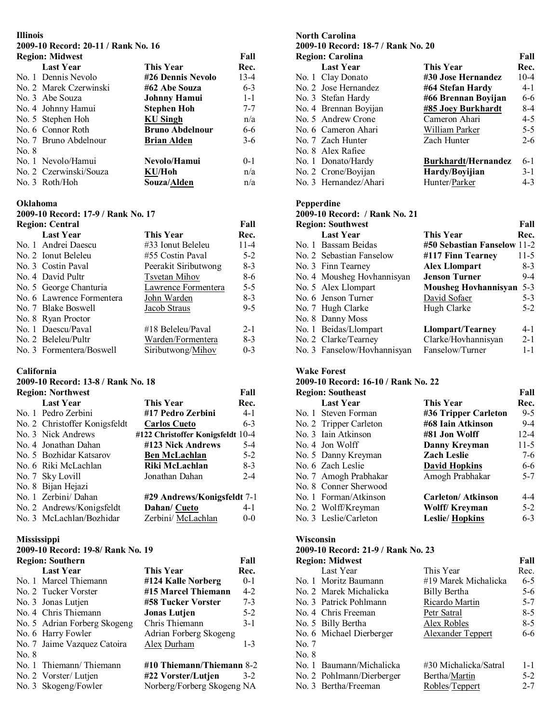# **Illinois**

# **2009-10 Record: 20-11 / Rank No. 16**

|       | <b>Region: Midwest</b> |                        | Fall    |
|-------|------------------------|------------------------|---------|
|       | <b>Last Year</b>       | This Year              | Rec.    |
|       | No. 1 Dennis Nevolo    | #26 Dennis Nevolo      | $13-4$  |
|       | No. 2 Marek Czerwinski | #62 Abe Souza          | $6 - 3$ |
|       | No. 3 Abe Souza        | <b>Johnny Hamui</b>    | $1 - 1$ |
|       | No. 4 Johnny Hamui     | Stephen Hoh            | $7 - 7$ |
|       | No. 5 Stephen Hoh      | <b>KU Singh</b>        | n/a     |
|       | No. 6 Connor Roth      | <b>Bruno Abdelnour</b> | 6-6     |
|       | No. 7 Bruno Abdelnour  | <b>Brian Alden</b>     | $3-6$   |
| No. 8 |                        |                        |         |
|       | No. 1 Nevolo/Hamui     | Nevolo/Hamui           | $0 - 1$ |
|       | No. 2 Czerwinski/Souza | KU/Hoh                 | n/a     |
|       | No. 3 Roth/Hoh         | Souza/Alden            | n/a     |

### **Oklahoma**

# **2009-10 Record: 17-9 / Rank No. 17**

| <b>Region: Central</b>    |                       | Fall     |
|---------------------------|-----------------------|----------|
| <b>Last Year</b>          | This Year             | Rec.     |
| No. 1 Andrei Daescu       | #33 Ionut Beleleu     | $11 - 4$ |
| No. 2 Ionut Beleleu       | #55 Costin Paval      | $5 - 2$  |
| No. 3 Costin Paval        | Peerakit Siributwong  | $8-3$    |
| No. 4 David Pultr         | <b>T</b> svetan Mihov | 8-6      |
| No. 5 George Chanturia    | Lawrence Formentera   | $5 - 5$  |
| No. 6 Lawrence Formentera | John Warden           | $8-3$    |
| No. 7 Blake Boswell       | Jacob Straus          | $9 - 5$  |
| No. 8 Ryan Proctor        |                       |          |
| No. 1 Daescu/Paval        | #18 Beleleu/Paval     | $2 - 1$  |
| No. 2 Beleleu/Pultr       | Warden/Formentera     | $8-3$    |
| No. 3 Formentera/Boswell  | Siributwong/Mihov     | $0 - 3$  |

## **California**

# **2009-10 Record: 13-8 / Rank No. 18**

| <b>Region: Northwest</b>      |                                   | Fall    |
|-------------------------------|-----------------------------------|---------|
| <b>Last Year</b>              | This Year                         | Rec.    |
| No. 1 Pedro Zerbini           | #17 Pedro Zerbini                 | $4-1$   |
| No. 2 Christoffer Konigsfeldt | <b>Carlos Cueto</b>               | $6 - 3$ |
| No. 3 Nick Andrews            | #122 Christoffer Konigsfeldt 10-4 |         |
| No. 4 Jonathan Dahan          | #123 Nick Andrews                 | $5-4$   |
| No. 5 Bozhidar Katsarov       | <b>Ben McLachlan</b>              | $5 - 2$ |
| No. 6 Riki McLachlan          | Riki McLachlan                    | $8-3$   |
| No. 7 Sky Lovill              | Jonathan Dahan                    | $2 - 4$ |
| No. 8 Bijan Hejazi            |                                   |         |
| No. 1 Zerbini/ Dahan          | #29 Andrews/Konigsfeldt 7-1       |         |
| No. 2 Andrews/Konigsfeldt     | Dahan/ Cueto                      | $4 - 1$ |
| No. 3 McLachlan/Bozhidar      | Zerbini/ McLachlan                | $0 - 0$ |

## **Mississippi**

## **2009-10 Record: 19-8/ Rank No. 19**

|       | <b>Region: Southern</b>      |                            | Fall    |
|-------|------------------------------|----------------------------|---------|
|       | <b>Last Year</b>             | This Year                  | Rec.    |
|       | No. 1 Marcel Thiemann        | #124 Kalle Norberg         | $0-1$   |
|       | No. 2 Tucker Vorster         | #15 Marcel Thiemann        | $4 - 2$ |
|       | No. 3 Jonas Lutjen           | #58 Tucker Vorster         | $7 - 3$ |
|       | No. 4 Chris Thiemann         | <b>Jonas Lutjen</b>        | $5 - 2$ |
|       | No. 5 Adrian Forberg Skogeng | Chris Thiemann             | $3 - 1$ |
|       | No. 6 Harry Fowler           | Adrian Forberg Skogeng     |         |
|       | No. 7 Jaime Vazquez Catoira  | Alex Durham                | $1 - 3$ |
| No. 8 |                              |                            |         |
|       | No. 1 Thiemann/Thiemann      | #10 Thiemann/Thiemann 8-2  |         |
|       | No. 2 Vorster/Lutjen         | #22 Vorster/Lutjen         | $3-2$   |
|       | No. 3 Skogeng/Fowler         | Norberg/Forberg Skogeng NA |         |

| <b>North Carolina</b><br>2009-10 Record: 18-7 / Rank No. 20<br><b>Region: Carolina</b> |                       |                            | Fall     |
|----------------------------------------------------------------------------------------|-----------------------|----------------------------|----------|
|                                                                                        | <b>Last Year</b>      | This Year                  | Rec.     |
|                                                                                        | No. 1 Clay Donato     | #30 Jose Hernandez         | $10 - 4$ |
|                                                                                        | No. 2 Jose Hernandez  | #64 Stefan Hardy           | $4 - 1$  |
|                                                                                        | No. 3 Stefan Hardy    | #66 Brennan Boyijan        | $6 - 6$  |
|                                                                                        | No. 4 Brennan Boyijan | #85 Joey Burkhardt         | $8-4$    |
|                                                                                        | No. 5 Andrew Crone    | Cameron Ahari              | $4 - 5$  |
|                                                                                        | No. 6 Cameron Ahari   | William Parker             | $5 - 5$  |
|                                                                                        | No. 7 Zach Hunter     | Zach Hunter                | $2 - 6$  |
|                                                                                        | No. 8 Alex Rafiee     |                            |          |
|                                                                                        | No. 1 Donato/Hardy    | <b>Burkhardt/Hernandez</b> | $6-1$    |
|                                                                                        | No. 2 Crone/Boyijan   | Hardy/Boyijian             | $3-1$    |
|                                                                                        | No. 3 Hernandez/Ahari | Hunter/Parker              | $4 - 3$  |

#### **Pepperdine**

| 2009-10 Record: / Rank No. 21 |                             |         |
|-------------------------------|-----------------------------|---------|
| <b>Region: Southwest</b>      |                             | Fall    |
| <b>Last Year</b>              | <b>This Year</b>            | Rec.    |
| No. 1 Bassam Beidas           | #50 Sebastian Fanselow 11-2 |         |
| No. 2 Sebastian Fanselow      | #117 Finn Tearney           | 11-5    |
| No. 3 Finn Tearney            | <b>Alex Llompart</b>        | $8-3$   |
| No. 4 Mousheg Hovhannisyan    | <b>Jenson Turner</b>        | $9-4$   |
| No. 5 Alex Llompart           | Mousheg Hovhannisyan        | $5 - 3$ |
| No. 6 Jenson Turner           | David Sofaer                | $5 - 3$ |
| No. 7 Hugh Clarke             | Hugh Clarke                 | $5-2$   |
| No. 8 Danny Moss              |                             |         |
| No. 1 Beidas/Llompart         | <b>Llompart/Tearney</b>     | $4-1$   |
| No. 2 Clarke/Tearney          | Clarke/Hovhannisyan         | $2 - 1$ |
| No. 3 Fanselow/Hovhannisyan   | Fanselow/Turner             | $1 - 1$ |

#### **Wake Forest**

## **2009-10 Record: 16-10 / Rank No. 22**

| <b>Region: Southeast</b> |                          | Fall     |
|--------------------------|--------------------------|----------|
| <b>Last Year</b>         | This Year                | Rec.     |
| No. 1 Steven Forman      | #36 Tripper Carleton     | $9 - 5$  |
| No. 2 Tripper Carleton   | #68 Iain Atkinson        | $9-4$    |
| No. 3 Iain Atkinson      | #81 Jon Wolff            | $12 - 4$ |
| No. 4 Jon Wolff          | Danny Kreyman            | $11-5$   |
| No. 5 Danny Kreyman      | <b>Zach Leslie</b>       | $7-6$    |
| No. 6 Zach Leslie        | <b>David Hopkins</b>     | 6-6      |
| No. 7 Amogh Prabhakar    | Amogh Prabhakar          | $5 - 7$  |
| No. 8 Conner Sherwood    |                          |          |
| No. 1 Forman/Atkinson    | <b>Carleton/Atkinson</b> | 4-4      |
| No. 2 Wolff/Kreyman      | <b>Wolff/Kreyman</b>     | $5 - 2$  |
| No. 3 Leslie/Carleton    | <b>Leslie/Hopkins</b>    | $6 - 3$  |

### **Wisconsin**

### **2009-10 Record: 21-9 / Rank No. 23**

|       | <b>Region: Midwest</b>    |                       | Fall    |
|-------|---------------------------|-----------------------|---------|
|       | Last Year                 | This Year             | Rec.    |
|       | No. 1 Moritz Baumann      | #19 Marek Michalicka  | $6-5$   |
|       | No. 2 Marek Michalicka    | Billy Bertha          | $5 - 6$ |
|       | No. 3 Patrick Pohlmann    | Ricardo Martin        | $5 - 7$ |
|       | No. 4 Chris Freeman       | Petr Satral           | $8-5$   |
|       | No. 5 Billy Bertha        | Alex Robles           | $8-5$   |
|       | No. 6 Michael Dierberger  | Alexander Teppert     | 6-6     |
| No. 7 |                           |                       |         |
| No. 8 |                           |                       |         |
|       | No. 1 Baumann/Michalicka  | #30 Michalicka/Satral | $1 - 1$ |
|       | No. 2 Pohlmann/Dierberger | Bertha/Martin         | $5 - 2$ |
|       | No. 3 Bertha/Freeman      | Robles/Teppert        | $2 - 7$ |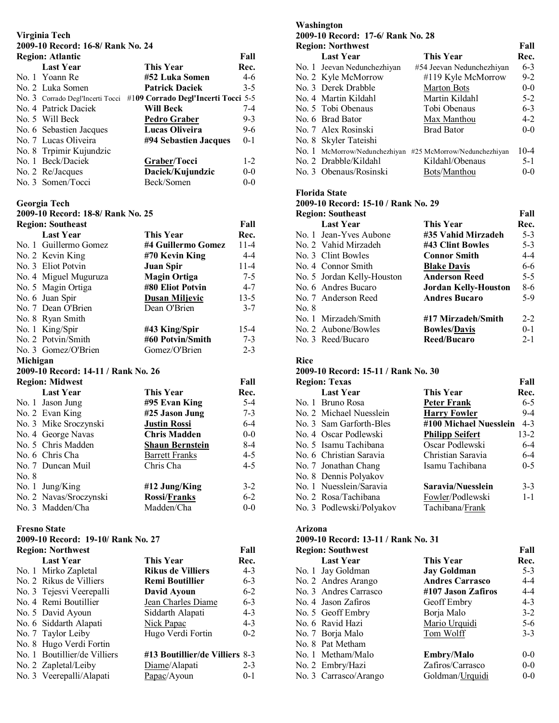# **Virginia Tech**

# **2009-10 Record: 16-8/ Rank No. 24**

| <b>Region: Atlantic</b> |                                  |                                     | Fall    |
|-------------------------|----------------------------------|-------------------------------------|---------|
|                         | <b>Last Year</b>                 | This Year                           | Rec.    |
|                         | No. 1 Yoann Re                   | #52 Luka Somen                      | 4-6     |
|                         | No. 2 Luka Somen                 | <b>Patrick Daciek</b>               | $3-5$   |
|                         | No. 3 Corrado Degl'Incerti Tocci | #109 Corrado Degl'Incerti Tocci 5-5 |         |
|                         | No. 4 Patrick Daciek             | Will Beck                           | $7-4$   |
|                         | No. 5 Will Beck                  | <b>Pedro Graber</b>                 | $9 - 3$ |
|                         | No. 6 Sebastien Jacques          | Lucas Oliveira                      | $9-6$   |
|                         | No. 7 Lucas Oliveira             | #94 Sebastien Jacques               | $0 - 1$ |
|                         | No. 8 Trpimir Kujundzic          |                                     |         |
|                         | No. 1 Beck/Daciek                | Graber/Tocci                        | $1 - 2$ |
|                         | No. 2 Re/Jacques                 | Daciek/Kujundzic                    | $0 - 0$ |
|                         | No. 3 Somen/Tocci                | Beck/Somen                          | $0 - 0$ |

## **Georgia Tech**

# **2009-10 Record: 18-8/ Rank No. 25**

|          | <b>Region: Southeast</b>            |                        | Fall     |
|----------|-------------------------------------|------------------------|----------|
|          | <b>Last Year</b>                    | <b>This Year</b>       | Rec.     |
|          | No. 1 Guillermo Gomez               | #4 Guillermo Gomez     | $11 - 4$ |
|          | No. 2 Kevin King                    | #70 Kevin King         | $4 - 4$  |
|          | No. 3 Eliot Potvin                  | Juan Spir              | $11 - 4$ |
|          | No. 4 Miguel Muguruza               | <b>Magin Ortiga</b>    | $7-5$    |
|          | No. 5 Magin Ortiga                  | #80 Eliot Potvin       | $4 - 7$  |
|          | No. 6 Juan Spir                     | <b>Dusan Miljevic</b>  | $13 - 5$ |
|          | No. 7 Dean O'Brien                  | Dean O'Brien           | $3 - 7$  |
|          | No. 8 Ryan Smith                    |                        |          |
|          | No. 1 King/Spir                     | #43 King/Spir          | $15 - 4$ |
|          | No. 2 Potvin/Smith                  | #60 Potvin/Smith       | $7 - 3$  |
|          | No. 3 Gomez/O'Brien                 | Gomez/O'Brien          | $2 - 3$  |
| Michigan |                                     |                        |          |
|          | 2009-10 Record: 14-11 / Rank No. 26 |                        |          |
|          | <b>Region: Midwest</b>              |                        | Fall     |
|          | <b>Last Year</b>                    | This Year              | Rec.     |
|          | No. 1 Jason Jung                    | #95 Evan King          | $5-4$    |
|          | No. 2 Evan King                     | #25 Jason Jung         | $7 - 3$  |
|          | No. 3 Mike Sroczynski               | <b>Justin Rossi</b>    | $6-4$    |
|          | No. 4 George Navas                  | <b>Chris Madden</b>    | $0-0$    |
|          | No. 5 Chris Madden                  | <b>Shaun Bernstein</b> | 8-4      |
|          | No. 6 Chris Cha                     | <b>Barrett Franks</b>  | $4 - 5$  |
|          | No. 7 Duncan Muil                   | Chris Cha              | $4-5$    |
| No. 8    |                                     |                        |          |
|          | No. 1 Jung/King                     | #12 Jung/King          | $3-2$    |
|          | No. 2 Navas/Sroczynski              | Rossi/Franks           | $6 - 2$  |
|          | No. 3 Madden/Cha                    | Madden/Cha             | $0 - 0$  |

## **Fresno State**

# **2009-10 Record: 19-10/ Rank No. 27**

| <b>Region: Northwest</b> |                              |                                | Fall    |
|--------------------------|------------------------------|--------------------------------|---------|
|                          | <b>Last Year</b>             | This Year                      | Rec.    |
|                          | No. 1 Mirko Zapletal         | Rikus de Villiers              | $4 - 3$ |
|                          | No. 2 Rikus de Villiers      | <b>Remi Boutillier</b>         | $6 - 3$ |
|                          | No. 3 Tejesvi Veerepalli     | David Ayoun                    | $6 - 2$ |
|                          | No. 4 Remi Boutillier        | Jean Charles Diame             | $6 - 3$ |
|                          | No. 5 David Ayoun            | Siddarth Alapati               | $4 - 3$ |
|                          | No. 6 Siddarth Alapati       | Nick Papac                     | $4 - 3$ |
|                          | No. 7 Taylor Leiby           | Hugo Verdi Fortin              | $0 - 2$ |
|                          | No. 8 Hugo Verdi Fortin      |                                |         |
|                          | No. 1 Boutillier/de Villiers | #13 Boutillier/de Villiers 8-3 |         |
|                          | No. 2 Zapletal/Leiby         | Diame/Alapati                  | $2 - 3$ |
|                          | No. 3 Veerepalli/Alapati     | Papac/Ayoun                    | $0 - 1$ |

# **Washington**

| 2009-10 Record: 17-6/ Rank No. 28 |  |  |  |
|-----------------------------------|--|--|--|
| Fall                              |  |  |  |
| Rec.                              |  |  |  |
| $6 - 3$                           |  |  |  |
| $9 - 2$                           |  |  |  |
| $0 - 0$                           |  |  |  |
| $5-2$                             |  |  |  |
| $6 - 3$                           |  |  |  |
| $4 - 2$                           |  |  |  |
| $0 - 0$                           |  |  |  |
|                                   |  |  |  |
| $10 - 4$                          |  |  |  |
| $5 - 1$                           |  |  |  |
| $0 - 0$                           |  |  |  |
|                                   |  |  |  |

# **Florida State**

# **2009-10 Record: 15-10 / Rank No. 29**

| <b>Region: Southeast</b> |                            |                             | Fall    |
|--------------------------|----------------------------|-----------------------------|---------|
|                          | <b>Last Year</b>           | <b>This Year</b>            | Rec.    |
|                          | No. 1 Jean-Yves Aubone     | #35 Vahid Mirzadeh          | $5 - 3$ |
|                          | No. 2 Vahid Mirzadeh       | #43 Clint Bowles            | $5 - 3$ |
|                          | No. 3 Clint Bowles         | <b>Connor Smith</b>         | $4 - 4$ |
|                          | No. 4 Connor Smith         | <b>Blake Davis</b>          | $6-6$   |
|                          | No. 5 Jordan Kelly-Houston | <b>Anderson Reed</b>        | $5 - 5$ |
|                          | No. 6 Andres Bucaro        | <b>Jordan Kelly-Houston</b> | 8-6     |
|                          | No. 7 Anderson Reed        | <b>Andres Bucaro</b>        | $5-9$   |
| No. 8                    |                            |                             |         |
|                          | No. 1 Mirzadeh/Smith       | #17 Mirzadeh/Smith          | $2 - 2$ |
|                          | No. 2 Aubone/Bowles        | <b>Bowles/Davis</b>         | $0 - 1$ |
|                          | No. 3 Reed/Bucaro          | Reed/Bucaro                 | $2 - 1$ |

#### **Rice**

## **2009-10 Record: 15-11 / Rank No. 30**

| <b>Region: Texas</b>     |                        | Fall     |
|--------------------------|------------------------|----------|
| <b>Last Year</b>         | This Year              | Rec.     |
| No. 1 Bruno Rosa         | Peter Frank            | $6 - 5$  |
| No. 2 Michael Nuesslein  | <b>Harry Fowler</b>    | $9-4$    |
| No. 3 Sam Garforth-Bles  | #100 Michael Nuesslein | $4 - 3$  |
| No. 4 Oscar Podlewski    | <b>Philipp Seifert</b> | $13 - 2$ |
| No. 5 Isamu Tachibana    | Oscar Podlewski        | $6-4$    |
| No. 6 Christian Saravia  | Christian Saravia      | $6 - 4$  |
| No. 7 Jonathan Chang     | Isamu Tachibana        | $0 - 5$  |
| No. 8 Dennis Polyakov    |                        |          |
| No. 1 Nuesslein/Saravia  | Saravia/Nuesslein      | $3 - 3$  |
| No. 2 Rosa/Tachibana     | Fowler/Podlewski       | $1 - 1$  |
| No. 3 Podlewski/Polyakov | Tachibana/Frank        |          |

## **Arizona**

### **2009-10 Record: 13-11 / Rank No. 31**

| <b>Region: Southwest</b> |                        | Fall    |
|--------------------------|------------------------|---------|
| <b>Last Year</b>         | This Year              | Rec.    |
| No. 1 Jay Goldman        | <b>Jay Goldman</b>     | $5 - 3$ |
| No. 2 Andres Arango      | <b>Andres Carrasco</b> | $4 - 4$ |
| No. 3 Andres Carrasco    | #107 Jason Zafiros     | 4-4     |
| No. 4 Jason Zafiros      | Geoff Embry            | $4 - 3$ |
| No. 5 Geoff Embry        | Borja Malo             | $3 - 2$ |
| No. 6 Ravid Hazi         | Mario Urquidi          | $5-6$   |
| No. 7 Borja Malo         | Tom Wolff              | $3 - 3$ |
| No. 8 Pat Metham         |                        |         |
| No. 1 Metham/Malo        | <b>Embry/Malo</b>      | $0-0$   |
| No. 2 Embry/Hazi         | Zafiros/Carrasco       | $0-0$   |
| No. 3 Carrasco/Arango    | Goldman/Urquidi        | $0-0$   |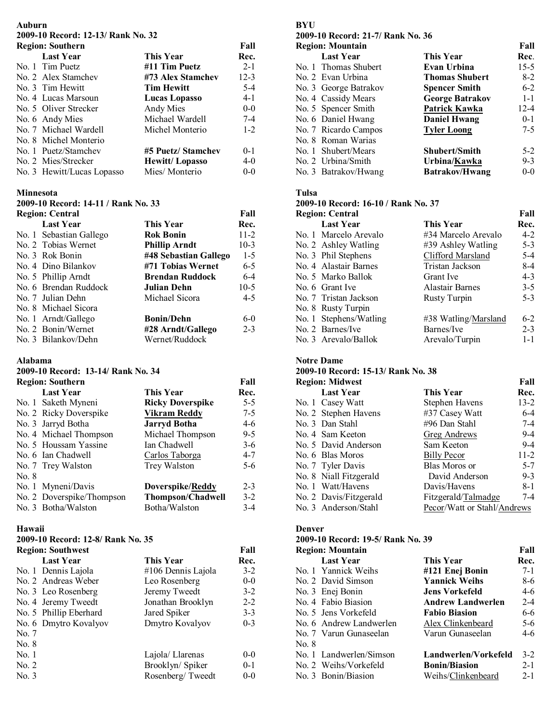#### **Auburn 2009-10 Record: 12-13/ Rank No. 32 Region: Southern Fall**

| Region: Southern           |                       | ган      |
|----------------------------|-----------------------|----------|
| <b>Last Year</b>           | <b>This Year</b>      | Rec.     |
| No. 1 Tim Puetz            | #11 Tim Puetz         | $2 - 1$  |
| No. 2 Alex Stamchev        | #73 Alex Stamchev     | $12 - 3$ |
| No. 3 Tim Hewitt           | <b>Tim Hewitt</b>     | $5-4$    |
| No. 4 Lucas Marsoun        | Lucas Lopasso         | $4 - 1$  |
| No. 5 Oliver Strecker      | Andy Mies             | $0-0$    |
| No. 6 Andy Mies            | Michael Wardell       | $7-4$    |
| No. 7 Michael Wardell      | Michel Monterio       | $1-2$    |
| No. 8 Michel Monterio      |                       |          |
| No. 1 Puetz/Stamchev       | #5 Puetz/ Stamchev    | $0 - 1$  |
| No. 2 Mies/Strecker        | <b>Hewitt/Lopasso</b> | 4-0      |
| No. 3 Hewitt/Lucas Lopasso | Mies/Monterio         | $0 - 0$  |

#### **Minnesota**

**2009-10 Record: 14-11 / Rank No. 33** 

| <b>Region: Central</b>  |                        | Fall    |
|-------------------------|------------------------|---------|
| <b>Last Year</b>        | This Year              | Rec.    |
| No. 1 Sebastian Gallego | <b>Rok Bonin</b>       | $11-2$  |
| No. 2 Tobias Wernet     | <b>Phillip Arndt</b>   | $10-3$  |
| No. 3 Rok Bonin         | #48 Sebastian Gallego  | $1-5$   |
| No. 4 Dino Bilankov     | #71 Tobias Wernet      | $6-5$   |
| No. 5 Phillip Arndt     | <b>Brendan Ruddock</b> | $6-4$   |
| No. 6 Brendan Ruddock   | Julian Dehn            | $10-5$  |
| No. 7 Julian Dehn       | Michael Sicora         | $4 - 5$ |
| No. 8 Michael Sicora    |                        |         |
| No. 1 Arndt/Gallego     | <b>Bonin/Dehn</b>      | $6-0$   |
| No. 2 Bonin/Wernet      | #28 Arndt/Gallego      | $2 - 3$ |
| No. 3 Bilankov/Dehn     | Wernet/Ruddock         |         |

#### **Alabama**

#### **2009-10 Record: 13-14/ Rank No. 34**

| <b>Region: Southern</b> |                                                                                                                                                                                                                                              | Fall    |
|-------------------------|----------------------------------------------------------------------------------------------------------------------------------------------------------------------------------------------------------------------------------------------|---------|
| <b>Last Year</b>        | This Year                                                                                                                                                                                                                                    | Rec.    |
|                         | <b>Ricky Doverspike</b>                                                                                                                                                                                                                      | $5-5$   |
|                         | Vikram Reddy                                                                                                                                                                                                                                 | $7-5$   |
|                         | <b>Jarryd Botha</b>                                                                                                                                                                                                                          | 4-6     |
|                         | Michael Thompson                                                                                                                                                                                                                             | $9 - 5$ |
|                         | Ian Chadwell                                                                                                                                                                                                                                 | $3-6$   |
|                         | Carlos Taborga                                                                                                                                                                                                                               | $4 - 7$ |
|                         | Trey Walston                                                                                                                                                                                                                                 | $5-6$   |
|                         |                                                                                                                                                                                                                                              |         |
|                         | Doverspike/Reddy                                                                                                                                                                                                                             | $2 - 3$ |
|                         | <b>Thompson/Chadwell</b>                                                                                                                                                                                                                     | $3-2$   |
|                         | Botha/Walston                                                                                                                                                                                                                                | $3-4$   |
|                         | No. 1 Saketh Myneni<br>No. 2 Ricky Doverspike<br>No. 3 Jarryd Botha<br>No. 4 Michael Thompson<br>No. 5 Houssam Yassine<br>No. 6 Ian Chadwell<br>No. 7 Trey Walston<br>No. 1 Myneni/Davis<br>No. 2 Doverspike/Thompson<br>No. 3 Botha/Walston |         |

#### **Hawaii**

### **2009-10 Record: 12-8/ Rank No. 35**

| <b>Region: Southwest</b> |                        |                    | Fall    |
|--------------------------|------------------------|--------------------|---------|
|                          | <b>Last Year</b>       | <b>This Year</b>   | Rec.    |
|                          | No. 1 Dennis Lajola    | #106 Dennis Lajola | $3-2$   |
|                          | No. 2 Andreas Weber    | Leo Rosenberg      | $0-0$   |
|                          | No. 3 Leo Rosenberg    | Jeremy Tweedt      | $3 - 2$ |
|                          | No. 4 Jeremy Tweedt    | Jonathan Brooklyn  | $2 - 2$ |
|                          | No. 5 Phillip Eberhard | Jared Spiker       | $3 - 3$ |
|                          | No. 6 Dmytro Kovalyov  | Dmytro Kovalyov    | $0 - 3$ |
| No. 7                    |                        |                    |         |
| No. 8                    |                        |                    |         |
| No. 1                    |                        | Lajola/ Llarenas   | $0 - 0$ |
| No. 2                    |                        | Brooklyn/Spiker    | $0 - 1$ |
| No. 3                    |                        | Rosenberg/Tweedt   | $0 - 0$ |

## **BYU**

### **2009-10 Record: 21-7/ Rank No. 36 Region: Mountain Fall Last Year This Year Rec**. No. 1 Thomas Shubert **Evan Urbina** 15-5 No. 2 Evan Urbina **Thomas Shubert** 8-2 No. 3 George Batrakov **Spencer Smith** 6-2 No. 4 Cassidy Mears **George Batrakov** 1-1 No. 5 Spencer Smith **Patrick Kawka** 12-4 No. 6 Daniel Hwang **Daniel Hwang** 0-1 No. 7 Ricardo Campos **Tyler Loong** 7-5 No. 8 Roman Warias No. 1 Shubert/Mears **Shubert/Smith** 5-2 No. 2 Urbina/Smith **Urbina/Kawka** 9-3 No. 3 Batrakov/Hwang **Batrakov/Hwang** 0-0

#### **Tulsa**

#### **2009-10 Record: 16-10 / Rank No. 37**

| <b>Region: Central</b> |                        |                        | Fall    |
|------------------------|------------------------|------------------------|---------|
|                        | <b>Last Year</b>       | This Year              | Rec.    |
|                        | No. 1 Marcelo Arevalo  | #34 Marcelo Arevalo    | $4 - 2$ |
|                        | No. 2 Ashley Watling   | #39 Ashley Watling     | $5 - 3$ |
|                        | No. 3 Phil Stephens    | Clifford Marsland      | $5-4$   |
|                        | No. 4 Alastair Barnes  | Tristan Jackson        | $8-4$   |
|                        | No. 5 Marko Ballok     | Grant Ive              | $4 - 3$ |
|                        | No. 6 Grant Ive        | <b>Alastair Barnes</b> | $3 - 5$ |
|                        | No. 7 Tristan Jackson  | <b>Rusty Turpin</b>    | $5 - 3$ |
|                        | No. 8 Rusty Turpin     |                        |         |
|                        | No. 1 Stephens/Watling | #38 Watling/Marsland   | $6 - 2$ |
|                        | No. 2 Barnes/Ive       | Barnes/Ive             | $2 - 3$ |
|                        | No. 3 Arevalo/Ballok   | Arevalo/Turpin         | $1 - 1$ |

#### **Notre Dame**

# **2009-10 Record: 15-13/ Rank No. 38**

| <b>Region: Midwest</b> |                        |                             | Fall     |
|------------------------|------------------------|-----------------------------|----------|
|                        | <b>Last Year</b>       | This Year                   | Rec.     |
|                        | No. 1 Casey Watt       | Stephen Havens              | $13 - 2$ |
|                        | No. 2 Stephen Havens   | #37 Casey Watt              | $6 - 4$  |
|                        | No. 3 Dan Stahl        | #96 Dan Stahl               | $7-4$    |
|                        | No. 4 Sam Keeton       | Greg Andrews                | $9-4$    |
|                        | No. 5 David Anderson   | Sam Keeton                  | $9 - 4$  |
|                        | No. 6 Blas Moros       | Billy Pecor                 | $11-2$   |
|                        | No. 7 Tyler Davis      | Blas Moros or               | $5 - 7$  |
|                        | No. 8 Niall Fitzgerald | David Anderson              | $9 - 3$  |
|                        | No. 1 Watt/Havens      | Davis/Havens                | $8 - 1$  |
|                        | No. 2 Davis/Fitzgerald | Fitzgerald/Talmadge         | $7 - 4$  |
|                        | No. 3 Anderson/Stahl   | Pecor/Watt or Stahl/Andrews |          |

#### **Denver**

#### **2009-10 Record: 19-5/ Rank No. 39 Region: Mountain Fall Last Year This Year Rec.**  No. 1 Yannick Weihs **#121 Enej Bonin** 7-1 No. 2 David Simson **Yannick Weihs** 8-6 No. 3 Enej Bonin **Jens Vorkefeld** 4-6 No. 4 Fabio Biasion **Andrew Landwerlen** 2-4 No. 5 Jens Vorkefeld **Fabio Biasion** 6-6 No. 6 Andrew Landwerlen Alex Clinkenbeard 5-6 No. 7 Varun Gunaseelan Varun Gunaseelan 4-6 No. 8 No. 1 Landwerlen/Simson **Landwerlen/Vorkefeld** 3-2 No. 2 Weihs/Vorkefeld **Bonin/Biasion** 2-1 No. 3 Bonin/Biasion Weihs/Clinkenbeard 2-1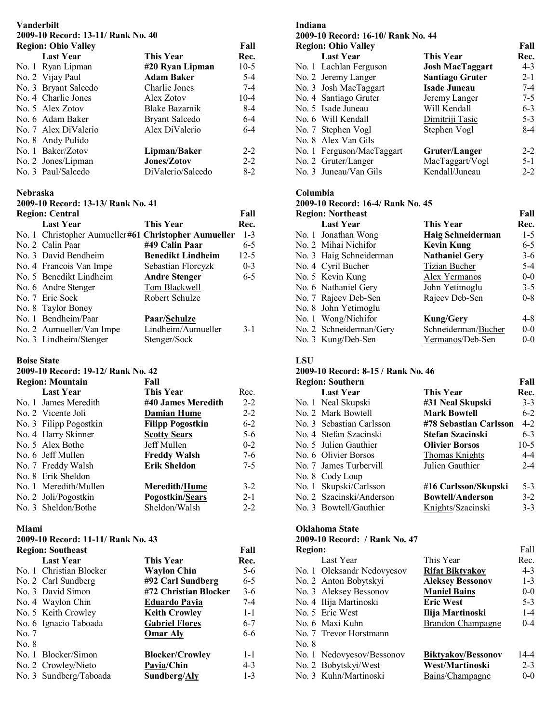# **Vanderbilt 2009-10 Record: 13-11/ Rank No. 40**

| <b>Region: Ohio Valley</b> |                       | Fall    |
|----------------------------|-----------------------|---------|
| <b>Last Year</b>           | This Year             | Rec.    |
| No. 1 Ryan Lipman          | #20 Ryan Lipman       | $10-5$  |
| No. 2 Vijay Paul           | <b>Adam Baker</b>     | $5-4$   |
| No. 3 Bryant Salcedo       | Charlie Jones         | $7 - 4$ |
| No. 4 Charlie Jones        | Alex Zotov            | $10-4$  |
| No. 5 Alex Zotov           | Blake Bazarnik        | $8-4$   |
| No. 6 Adam Baker           | <b>Bryant Salcedo</b> | $6-4$   |
| No. 7 Alex DiValerio       | Alex DiValerio        | $6 - 4$ |
| No. 8 Andy Pulido          |                       |         |
| No. 1 Baker/Zotov          | Lipman/Baker          | $2 - 2$ |
| No. 2 Jones/Lipman         | Jones/Zotov           | $2 - 2$ |
| No. 3 Paul/Salcedo         | DiValerio/Salcedo     | $8-2$   |

#### **Nebraska**

**2009-10 Record: 13-13/ Rank No. 41** 

| <b>Region: Central</b><br>Fall |                                                      |                          |         |
|--------------------------------|------------------------------------------------------|--------------------------|---------|
|                                | <b>Last Year</b>                                     | This Year                | Rec.    |
|                                | No. 1 Christopher Aumueller#61 Christopher Aumueller |                          | $1 - 3$ |
|                                | No. 2 Calin Paar                                     | #49 Calin Paar           | $6 - 5$ |
|                                | No. 3 David Bendheim                                 | <b>Benedikt Lindheim</b> | $12-5$  |
|                                | No. 4 Francois Van Impe                              | Sebastian Florcyzk       | $0 - 3$ |
|                                | No. 5 Benedikt Lindheim                              | <b>Andre Stenger</b>     | $6-5$   |
|                                | No. 6 Andre Stenger                                  | Tom Blackwell            |         |
|                                | No. 7 Eric Sock                                      | Robert Schulze           |         |
|                                | No. 8 Taylor Boney                                   |                          |         |
|                                | No. 1 Bendheim/Paar                                  | Paar/Schulze             |         |
|                                | No. 2 Aumueller/Van Impe                             | Lindheim/Aumueller       | $3-1$   |
|                                | No. 3 Lindheim/Stenger                               | Stenger/Sock             |         |

#### **Boise State**

#### **2009-10 Record: 19-12/ Rank No. 42 Region: Mountain Fall**

| Region: Mountain       | ган                     |         |
|------------------------|-------------------------|---------|
| <b>Last Year</b>       | This Year               | Rec.    |
| No. 1 James Meredith   | #40 James Meredith      | $2 - 2$ |
| No. 2 Vicente Joli     | <b>Damian Hume</b>      | $2 - 2$ |
| No. 3 Filipp Pogostkin | <b>Filipp Pogostkin</b> | $6 - 2$ |
| No. 4 Harry Skinner    | <b>Scotty Sears</b>     | $5-6$   |
| No. 5 Alex Bothe       | Jeff Mullen             | $0 - 2$ |
| No. 6 Jeff Mullen      | <b>Freddy Walsh</b>     | $7-6$   |
| No. 7 Freddy Walsh     | Erik Sheldon            | $7-5$   |
| No. 8 Erik Sheldon     |                         |         |
| No. 1 Meredith/Mullen  | <b>Meredith/Hume</b>    | $3-2$   |
| No. 2 Joli/Pogostkin   | <b>Pogostkin/Sears</b>  | $2 - 1$ |
| No. 3 Sheldon/Bothe    | Sheldon/Walsh           | $2 - 2$ |
|                        |                         |         |

#### **Miami**

## **2009-10 Record: 11-11/ Rank No. 43**

|       | <b>Region: Southeast</b> |                        | Fall    |
|-------|--------------------------|------------------------|---------|
|       | <b>Last Year</b>         | This Year              | Rec.    |
|       | No. 1 Christian Blocker  | <b>Waylon Chin</b>     | $5-6$   |
|       | No. 2 Carl Sundberg      | #92 Carl Sundberg      | $6 - 5$ |
|       | No. 3 David Simon        | #72 Christian Blocker  | $3-6$   |
|       | No. 4 Waylon Chin        | Eduardo Pavia          | $7-4$   |
|       | No. 5 Keith Crowley      | <b>Keith Crowley</b>   | $1 - 1$ |
|       | No. 6 Ignacio Taboada    | <b>Gabriel Flores</b>  | $6 - 7$ |
| No. 7 |                          | <b>Omar Aly</b>        | 6-6     |
| No. 8 |                          |                        |         |
|       | No. 1 Blocker/Simon      | <b>Blocker/Crowley</b> | $1 - 1$ |
|       | No. 2 Crowley/Nieto      | Pavia/Chin             | $4 - 3$ |
|       | No. 3 Sundberg/Taboada   | Sundberg/Aly           | $1 - 3$ |

# **Indiana**

#### **2009-10 Record: 16-10/ Rank No. 44 Region: Ohio Valley Fall Last Year This Year Rec.**<br> **Lachlan Ferguson Josh MacTaggart** 4-3 No. 1 Lachlan Ferguson **Josh MacTaggart** 4-3 No. 2 Jeremy Langer **Santiago Gruter** 2-1 No. 3 Josh MacTaggart<br>
No. 4 Santiago Gruter **Isade Juneau**<br> **Isade Juneau** No. 4 Santiago Gruter Jeremy Langer 7-5 No. 5 Isade Juneau Will Kendall 6-3 No. 6 Will Kendall **Dimitriji Tasic** 5-3 No. 7 Stephen Vogl Stephen Vogl 8-4 No. 8 Alex Van Gils No. 1 Ferguson/MacTaggart **Gruter/Langer** 2-2<br>No. 2 Gruter/Langer MacTaggart/Vogl 5-1 No. 2 Gruter/Langer MacTaggart/Vogl 5-1<br>No. 3 Juneau/Van Gils Kendall/Juneau 2-2 No. 3 Juneau/Van Gils Kendall/Juneau 2-2

### **Columbia**

## **2009-10 Record: 16-4/ Rank No. 45**

| <b>Region: Northeast</b> |                         |                       | Fall    |
|--------------------------|-------------------------|-----------------------|---------|
|                          | <b>Last Year</b>        | This Year             | Rec.    |
|                          | No. 1 Jonathan Wong     | Haig Schneiderman     | $1-5$   |
|                          | No. 2 Mihai Nichifor    | <b>Kevin Kung</b>     | $6 - 5$ |
|                          | No. 3 Haig Schneiderman | <b>Nathaniel Gery</b> | $3-6$   |
|                          | No. 4 Cyril Bucher      | Tizian Bucher         | $5-4$   |
|                          | No. 5 Kevin Kung        | Alex Yermanos         | $0-0$   |
|                          | No. 6 Nathaniel Gery    | John Yetimoglu        | $3 - 5$ |
|                          | No. 7 Rajeev Deb-Sen    | Rajeev Deb-Sen        | $0 - 8$ |
|                          | No. 8 John Yetimoglu    |                       |         |
|                          | No. 1 Wong/Nichifor     | <b>Kung/Gery</b>      | $4 - 8$ |
|                          | No. 2 Schneiderman/Gery | Schneiderman/Bucher   | $0-0$   |
|                          | No. 3 Kung/Deb-Sen      | Yermanos/Deb-Sen      | $0 - 0$ |

#### **LSU**

#### **2009-10 Record: 8-15 / Rank No. 46 Region: Southern Fall**

| <b>INCRIBIL, SUBLICI II</b> |                         | ган.    |
|-----------------------------|-------------------------|---------|
| <b>Last Year</b>            | <b>This Year</b>        | Rec.    |
| No. 1 Neal Skupski          | #31 Neal Skupski        | $3 - 3$ |
| No. 2 Mark Bowtell          | <b>Mark Bowtell</b>     | $6 - 2$ |
| No. 3 Sebastian Carlsson    | #78 Sebastian Carlsson  | $4 - 2$ |
| No. 4 Stefan Szacinski      | Stefan Szacinski        | $6 - 3$ |
| No. 5 Julien Gauthier       | <b>Olivier Borsos</b>   | $10-5$  |
| No. 6 Olivier Borsos        | Thomas Knights          | $4 - 4$ |
| No. 7 James Turbervill      | Julien Gauthier         | $2 - 4$ |
| No. 8 Cody Loup             |                         |         |
| No. 1 Skupski/Carlsson      | #16 Carlsson/Skupski    | $5-3$   |
| No. 2 Szacinski/Anderson    | <b>Bowtell/Anderson</b> | $3 - 2$ |
| No. 3 Bowtell/Gauthier      | Knights/Szacinski       | $3-3$   |

## **Oklahoma State**

# **2009-10 Record: / Rank No. 47**

| <b>Region:</b> |                            |                           | Fall    |
|----------------|----------------------------|---------------------------|---------|
|                | Last Year                  | This Year                 | Rec.    |
|                | No. 1 Oleksandr Nedovyesov | <b>Rifat Biktyakov</b>    | $4 - 3$ |
|                | No. 2 Anton Bobytskyi      | <b>Aleksey Bessonov</b>   | $1 - 3$ |
|                | No. 3 Aleksey Bessonov     | <b>Maniel Bains</b>       | $0-0$   |
|                | No. 4 Ilija Martinoski     | <b>Eric West</b>          | $5 - 3$ |
|                | No. 5 Eric West            | Ilija Martinoski          | $1 - 4$ |
|                | No. 6 Maxi Kuhn            | Brandon Champagne         | $0 - 4$ |
|                | No. 7 Trevor Horstmann     |                           |         |
| No. 8          |                            |                           |         |
|                | No. 1 Nedovyesov/Bessonov  | <b>Biktyakov/Bessonov</b> | 14-4    |
|                | No. 2 Bobytskyi/West       | West/Martinoski           | $2 - 3$ |
|                | No. 3 Kuhn/Martinoski      | Bains/Champagne           | $0 - 0$ |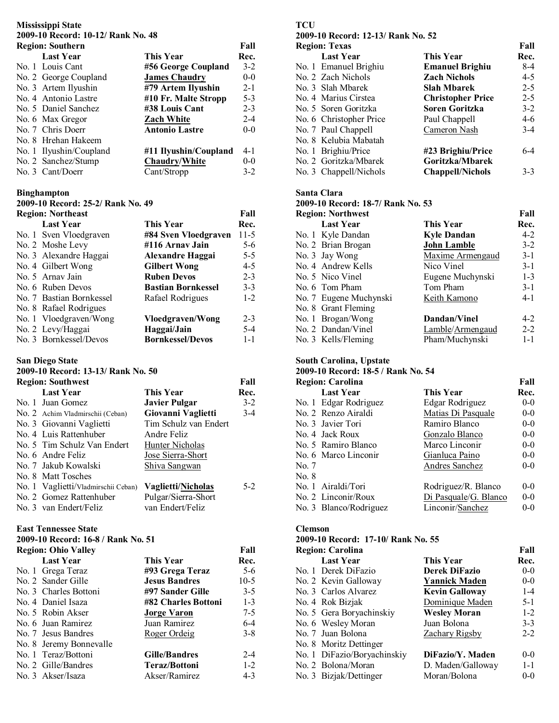# **Mississippi State 2009-10 Record: 10-12/ Rank No. 48**

| <b>Region: Southern</b> |                       | Fall    |
|-------------------------|-----------------------|---------|
| <b>Last Year</b>        | This Year             | Rec.    |
| No. 1 Louis Cant        | #56 George Coupland   | $3 - 2$ |
| No. 2 George Coupland   | <b>James Chaudry</b>  | $0-0$   |
| No. 3 Artem Ilyushin    | #79 Artem Ilyushin    | $2 - 1$ |
| No. 4 Antonio Lastre    | #10 Fr. Malte Stropp  | $5 - 3$ |
| No. 5 Daniel Sanchez    | #38 Louis Cant        | $2 - 3$ |
| No. 6 Max Gregor        | <b>Zach White</b>     | $2 - 4$ |
| No. 7 Chris Doerr       | <b>Antonio Lastre</b> | $0 - 0$ |
| No. 8 Hrehan Hakeem     |                       |         |
| No. 1 Ilyushin/Coupland | #11 Ilyushin/Coupland | $4 - 1$ |
| No. 2 Sanchez/Stump     | <b>Chaudry/White</b>  | $0 - 0$ |
| No. 3 Cant/Doerr        | Cant/Stropp           | $3-2$   |

#### **Binghampton**

**2009-10 Record: 25-2/ Rank No. 49** 

| <b>Region: Northeast</b> |                           | Fall    |
|--------------------------|---------------------------|---------|
| <b>Last Year</b>         | This Year                 | Rec.    |
| No. 1 Sven Vloedgraven   | #84 Sven Vloedgraven      | $11-5$  |
| No. 2 Moshe Levy         | #116 Arnav Jain           | $5 - 6$ |
| No. 3 Alexandre Haggai   | Alexandre Haggai          | $5 - 5$ |
| No. 4 Gilbert Wong       | <b>Gilbert Wong</b>       | $4-5$   |
| No. 5 Arnay Jain         | <b>Ruben Devos</b>        | $2 - 3$ |
| No. 6 Ruben Devos        | <b>Bastian Bornkessel</b> | $3 - 3$ |
| No. 7 Bastian Bornkessel | Rafael Rodrigues          | $1 - 2$ |
| No. 8 Rafael Rodrigues   |                           |         |
| No. 1 Vloedgraven/Wong   | Vloedgraven/Wong          | $2 - 3$ |
| No. 2 Levy/Haggai        | Haggai/Jain               | $5-4$   |
| No. 3 Bornkessel/Devos   | <b>Bornkessel/Devos</b>   | $1 - 1$ |

## **San Diego State**

#### **2009-10 Record: 13-13/ Rank No. 50**

| <b>Region: Southwest</b>            |                       | Fall  |
|-------------------------------------|-----------------------|-------|
| <b>Last Year</b>                    | <b>This Year</b>      | Rec.  |
| No. 1 Juan Gomez                    | <b>Javier Pulgar</b>  | $3-2$ |
| No. 2 Achim Vladmirschii (Ceban)    | Giovanni Vaglietti    | $3-4$ |
| No. 3 Giovanni Vaglietti            | Tim Schulz van Endert |       |
| No. 4 Luis Rattenhuber              | Andre Feliz           |       |
| No. 5 Tim Schulz Van Endert         | Hunter Nicholas       |       |
| No. 6 Andre Feliz                   | Jose Sierra-Short     |       |
| No. 7 Jakub Kowalski                | Shiva Sangwan         |       |
| No. 8 Matt Tosches                  |                       |       |
| No. 1 Vaglietti/Vladmirschii Ceban) | Vaglietti/Nicholas    | $5-2$ |
| No. 2 Gomez Rattenhuber             | Pulgar/Sierra-Short   |       |
| No. 3 van Endert/Feliz              | van Endert/Feliz      |       |

#### **East Tennessee State**

## **2009-10 Record: 16-8 / Rank No. 51**

| <b>Region: Ohio Valley</b> |                         |                      | Fall    |
|----------------------------|-------------------------|----------------------|---------|
|                            | <b>Last Year</b>        | <b>This Year</b>     | Rec.    |
|                            | No. 1 Grega Teraz       | #93 Grega Teraz      | $5 - 6$ |
|                            | No. 2 Sander Gille      | <b>Jesus Bandres</b> | $10-5$  |
|                            | No. 3 Charles Bottoni   | #97 Sander Gille     | $3 - 5$ |
|                            | No. 4 Daniel Isaza      | #82 Charles Bottoni  | $1 - 3$ |
|                            | No. 5 Robin Akser       | <b>Jorge Varon</b>   | $7 - 5$ |
|                            | No. 6 Juan Ramirez      | Juan Ramirez         | $6-4$   |
|                            | No. 7 Jesus Bandres     | Roger Ordeig         | $3 - 8$ |
|                            | No. 8 Jeremy Bonnevalle |                      |         |
|                            | No. 1 Teraz/Bottoni     | <b>Gille/Bandres</b> | $2 - 4$ |
|                            | No. 2 Gille/Bandres     | <b>Teraz/Bottoni</b> | $1 - 2$ |
|                            | No. 3 Akser/Isaza       | Akser/Ramirez        | $4-3$   |

# **TCU**

# **2009-10 Record: 12-13/ Rank No. 52 Region: Texas Fall**

| <b>Last Year</b>        | <b>This Year</b>         | Rec.    |
|-------------------------|--------------------------|---------|
| No. 1 Emanuel Brighiu   | <b>Emanuel Brighiu</b>   | 8-4     |
| No. 2 Zach Nichols      | <b>Zach Nichols</b>      | $4 - 5$ |
| No. 3 Slah Mbarek       | Slah Mbarek              | $2 - 5$ |
| No. 4 Marius Cirstea    | <b>Christopher Price</b> | $2 - 5$ |
| No. 5 Soren Goritzka    | <b>Soren Goritzka</b>    | $3-2$   |
| No. 6 Christopher Price | Paul Chappell            | 4-6     |
| No. 7 Paul Chappell     | Cameron Nash             | $3-4$   |
| No. 8 Kelubia Mabatah   |                          |         |
| No. 1 Brighiu/Price     | #23 Brighiu/Price        | 6-4     |
| No. 2 Goritzka/Mbarek   | Goritzka/Mbarek          |         |
| No. 3 Chappell/Nichols  | <b>Chappell/Nichols</b>  | $3-3$   |

#### **Santa Clara**

## **2009-10 Record: 18-7/ Rank No. 53**

| <b>Region: Northwest</b> |                    |         |
|--------------------------|--------------------|---------|
| <b>Last Year</b>         | This Year          | Rec.    |
| No. 1 Kyle Dandan        | <b>Kyle Dandan</b> | $4 - 2$ |
| No. 2 Brian Brogan       | <b>John Lamble</b> | $3-2$   |
| No. 3 Jay Wong           | Maxime Armengaud   | $3-1$   |
| No. 4 Andrew Kells       | Nico Vinel         | $3 - 1$ |
| No. 5 Nico Vinel         | Eugene Muchynski   | $1 - 3$ |
| No. 6 Tom Pham           | Tom Pham           | $3-1$   |
| No. 7 Eugene Muchynski   | Keith Kamono       | $4 - 1$ |
| No. 8 Grant Fleming      |                    |         |
| No. 1 Brogan/Wong        | Dandan/Vinel       | $4 - 2$ |
| No. 2 Dandan/Vinel       | Lamble/Armengaud   | $2 - 2$ |
| No. 3 Kells/Fleming      | Pham/Muchynski     | $1 - 1$ |
|                          |                    |         |

# **South Carolina, Upstate**

### **2009-10 Record: 18-5 / Rank No. 54**

|       | <b>Region: Carolina</b> |                       | Fall    |
|-------|-------------------------|-----------------------|---------|
|       | <b>Last Year</b>        | This Year             | Rec.    |
|       | No. 1 Edgar Rodriguez   | Edgar Rodriguez       | $0-0$   |
|       | No. 2 Renzo Airaldi     | Matias Di Pasquale    | $0-0$   |
|       | No. 3 Javier Tori       | Ramiro Blanco         | $0-0$   |
|       | No. 4 Jack Roux         | Gonzalo Blanco        | $0-0$   |
|       | No. 5 Ramiro Blanco     | Marco Linconir        | $0-0$   |
|       | No. 6 Marco Linconir    | Gianluca Paino        | $0-0$   |
| No. 7 |                         | Andres Sanchez        | $0-0$   |
| No. 8 |                         |                       |         |
|       | No. 1 Airaldi/Tori      | Rodriguez/R. Blanco   | $0-0$   |
|       | No. 2 Linconir/Roux     | Di Pasquale/G. Blanco | $0-0$   |
|       | No. 3 Blanco/Rodriguez  | Linconir/Sanchez      | $0 - 0$ |

#### **Clemson**

# **2009-10 Record: 17-10/ Rank No. 55**

| <b>Region: Carolina</b> |                             |                       | Fall    |
|-------------------------|-----------------------------|-----------------------|---------|
|                         | <b>Last Year</b>            | <b>This Year</b>      | Rec.    |
|                         | No. 1 Derek DiFazio         | <b>Derek DiFazio</b>  | $0-0$   |
|                         | No. 2 Kevin Galloway        | <b>Yannick Maden</b>  | $0-0$   |
|                         | No. 3 Carlos Alvarez        | <b>Kevin Galloway</b> | $1 - 4$ |
|                         | No. 4 Rok Bizjak            | Dominique Maden       | $5 - 1$ |
|                         | No. 5 Gera Boryachinskiy    | <b>Wesley Moran</b>   | $1 - 2$ |
|                         | No. 6 Wesley Moran          | Juan Bolona           | $3 - 3$ |
|                         | No. 7 Juan Bolona           | Zachary Rigsby        | $2 - 2$ |
|                         | No. 8 Moritz Dettinger      |                       |         |
|                         | No. 1 DiFazio/Boryachinskiy | DiFazio/Y. Maden      | $0-0$   |
|                         | No. 2 Bolona/Moran          | D. Maden/Galloway     | $1 - 1$ |
|                         | No. 3 Bizjak/Dettinger      | Moran/Bolona          | $0 - 0$ |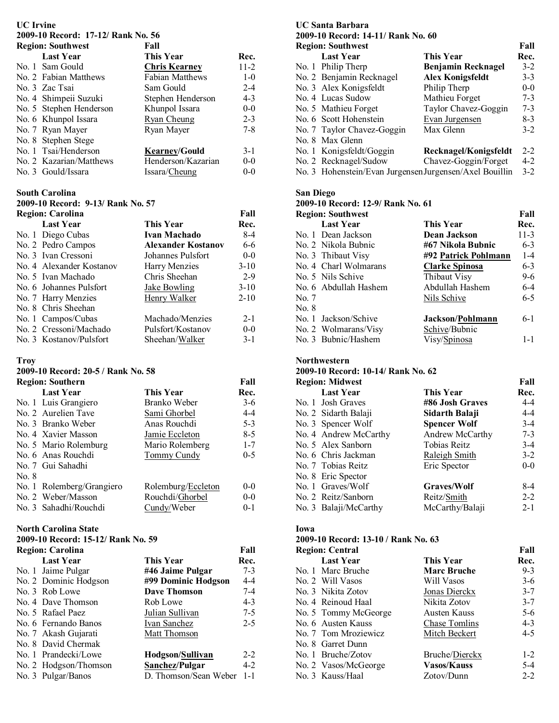# **UC Irvine**

## **2009-10 Record: 17-12/ Rank No. 56**

| <b>Region: Southwest</b> | Fall                   |          |
|--------------------------|------------------------|----------|
| <b>Last Year</b>         | <b>This Year</b>       | Rec.     |
| No. 1 Sam Gould          | <b>Chris Kearney</b>   | $11 - 2$ |
| No. 2 Fabian Matthews    | <b>Fabian Matthews</b> | $1-0$    |
| No. 3 Zac Tsai           | Sam Gould              | $2 - 4$  |
| No. 4 Shimpeii Suzuki    | Stephen Henderson      | $4 - 3$  |
| No. 5 Stephen Henderson  | Khunpol Issara         | $0-0$    |
| No. 6 Khunpol Issara     | Ryan Cheung            | $2 - 3$  |
| No. 7 Ryan Mayer         | Ryan Mayer             | $7 - 8$  |
| No. 8 Stephen Stege      |                        |          |
| No. 1 Tsai/Henderson     | <b>Kearney/Gould</b>   | $3 - 1$  |
| No. 2 Kazarian/Matthews  | Henderson/Kazarian     | $0 - 0$  |
| No. 3 Gould/Issara       | Issara/Cheung          | $0 - 0$  |

#### **South Carolina**

**2009-10 Record: 9-13/ Rank No. 57** 

| <b>Region: Carolina</b> |                          |                           | Fall     |
|-------------------------|--------------------------|---------------------------|----------|
|                         | <b>Last Year</b>         | This Year                 | Rec.     |
|                         | No. 1 Diego Cubas        | Ivan Machado              | $8-4$    |
|                         | No. 2 Pedro Campos       | <b>Alexander Kostanov</b> | 6-6      |
|                         | No. 3 Ivan Cressoni      | Johannes Pulsfort         | $0 - 0$  |
|                         | No. 4 Alexander Kostanov | Harry Menzies             | $3-10$   |
|                         | No. 5 Ivan Machado       | Chris Sheehan             | $2-9$    |
|                         | No. 6 Johannes Pulsfort  | Jake Bowling              | $3-10$   |
|                         | No. 7 Harry Menzies      | Henry Walker              | $2 - 10$ |
|                         | No. 8 Chris Sheehan      |                           |          |
|                         | No. 1 Campos/Cubas       | Machado/Menzies           | $2 - 1$  |
|                         | No. 2 Cressoni/Machado   | Pulsfort/Kostanov         | $0 - 0$  |
|                         | No. 3 Kostanov/Pulsfort  | Sheehan/Walker            | $3 - 1$  |

### **Troy**

# **2009-10 Record: 20-5 / Rank No. 58**

|       | <b>Region: Southern</b>   |                    | Fall    |
|-------|---------------------------|--------------------|---------|
|       | <b>Last Year</b>          | <b>This Year</b>   | Rec.    |
|       | No. 1 Luis Grangiero      | Branko Weber       | $3-6$   |
|       | No. 2 Aurelien Tave       | Sami Ghorbel       | $4 - 4$ |
|       | No. 3 Branko Weber        | Anas Rouchdi       | $5-3$   |
|       | No. 4 Xavier Masson       | Jamie Eccleton     | $8-5$   |
|       | No. 5 Mario Rolemburg     | Mario Rolemberg    | $1 - 7$ |
|       | No. 6 Anas Rouchdi        | Tommy Cundy        | $0 - 5$ |
|       | No. 7 Gui Sahadhi         |                    |         |
| No. 8 |                           |                    |         |
|       | No. 1 Rolemberg/Grangiero | Rolemburg/Eccleton | $0 - 0$ |
|       | No. 2 Weber/Masson        | Rouchdi/Ghorbel    | $0 - 0$ |
|       | No. 3 Sahadhi/Rouchdi     | Cundy/Weber        | $0 - 1$ |

## **North Carolina State**

## **2009-10 Record: 15-12/ Rank No. 59**

| <b>Region: Carolina</b> |                       |                       | Fall    |
|-------------------------|-----------------------|-----------------------|---------|
|                         | <b>Last Year</b>      | <b>This Year</b>      | Rec.    |
|                         | No. 1 Jaime Pulgar    | #46 Jaime Pulgar      | $7 - 3$ |
|                         | No. 2 Dominic Hodgson | #99 Dominic Hodgson   | $4 - 4$ |
|                         | No. 3 Rob Lowe        | Dave Thomson          | $7 - 4$ |
|                         | No. 4 Dave Thomson    | Rob Lowe              | $4 - 3$ |
|                         | No. 5 Rafael Paez     | Julian Sullivan       | $7 - 5$ |
|                         | No. 6 Fernando Banos  | Ivan Sanchez          | $2 - 5$ |
|                         | No. 7 Akash Gujarati  | Matt Thomson          |         |
|                         | No. 8 David Chermak   |                       |         |
|                         | No. 1 Prandecki/Lowe  | Hodgson/Sullivan      | $2 - 2$ |
|                         | No. 2 Hodgson/Thomson | Sanchez/Pulgar        | $4-2$   |
|                         | No. 3 Pulgar/Banos    | D. Thomson/Sean Weber | $1 - 1$ |

#### **UC Santa Barbara 2009-10 Record: 14-11/ Rank No. 60 Region: Southwest Fall**

| <b>Region: Southwest</b> |                                                         |                           | Fall    |
|--------------------------|---------------------------------------------------------|---------------------------|---------|
|                          | <b>Last Year</b>                                        | This Year                 | Rec.    |
|                          | No. 1 Philip Therp                                      | <b>Benjamin Recknagel</b> | $3-2$   |
|                          | No. 2 Benjamin Recknagel                                | <b>Alex Konigsfeldt</b>   | $3 - 3$ |
|                          | No. 3 Alex Konigsfeldt                                  | Philip Therp              | $0-0$   |
|                          | No. 4 Lucas Sudow                                       | Mathieu Forget            | $7 - 3$ |
|                          | No. 5 Mathieu Forget                                    | Taylor Chavez-Goggin      | $7 - 3$ |
|                          | No. 6 Scott Hohenstein                                  | Evan Jurgensen            | $8-3$   |
|                          | No. 7 Taylor Chavez-Goggin                              | Max Glenn                 | $3-2$   |
|                          | No. 8 Max Glenn                                         |                           |         |
|                          | No. 1 Konigsfeldt/Goggin                                | Recknagel/Konigsfeldt     | $2 - 2$ |
|                          | No. 2 Recknagel/Sudow                                   | Chavez-Goggin/Forget      | $4-2$   |
|                          | No. 3 Hohenstein/Evan Jurgensen Jurgensen/Axel Bouillin |                           | $3-2$   |
|                          |                                                         |                           |         |

# **San Diego**

# **2009-10 Record: 12-9/ Rank No. 61**

| <b>Region: Southwest</b><br>Fall |                                                                                                                                                                                                               |         |
|----------------------------------|---------------------------------------------------------------------------------------------------------------------------------------------------------------------------------------------------------------|---------|
| <b>Last Year</b>                 | This Year                                                                                                                                                                                                     | Rec.    |
|                                  | <b>Dean Jackson</b>                                                                                                                                                                                           | $11-3$  |
|                                  | #67 Nikola Bubnic                                                                                                                                                                                             | $6 - 3$ |
|                                  | #92 Patrick Pohlmann                                                                                                                                                                                          | $1 - 4$ |
|                                  | <b>Clarke Spinosa</b>                                                                                                                                                                                         | $6 - 3$ |
|                                  | Thibaut Visy                                                                                                                                                                                                  | $9-6$   |
|                                  | Abdullah Hashem                                                                                                                                                                                               | $6-4$   |
|                                  | Nils Schive                                                                                                                                                                                                   | $6-5$   |
|                                  |                                                                                                                                                                                                               |         |
|                                  | Jackson/Pohlmann                                                                                                                                                                                              | $6-1$   |
|                                  | Schive/Bubnic                                                                                                                                                                                                 |         |
|                                  | Visy/Spinosa                                                                                                                                                                                                  | $1 - 1$ |
|                                  | No. 1 Dean Jackson<br>No. 2 Nikola Bubnic<br>No. 3 Thibaut Visy<br>No. 4 Charl Wolmarans<br>No. 5 Nils Schive<br>No. 6 Abdullah Hashem<br>No. 1 Jackson/Schive<br>No. 2 Wolmarans/Visy<br>No. 3 Bubnic/Hashem |         |

#### **Northwestern**

## **2009-10 Record: 10-14/ Rank No. 62**

| <b>Region: Midwest</b> |                     | Fall    |
|------------------------|---------------------|---------|
| <b>Last Year</b>       | This Year           | Rec.    |
| No. 1 Josh Graves      | #86 Josh Graves     | $4 - 4$ |
| No. 2 Sidarth Balaji   | Sidarth Balaji      | $4 - 4$ |
| No. 3 Spencer Wolf     | <b>Spencer Wolf</b> | $3-4$   |
| No. 4 Andrew McCarthy  | Andrew McCarthy     | $7 - 3$ |
| No. 5 Alex Sanborn     | Tobias Reitz        | $3-4$   |
| No. 6 Chris Jackman    | Raleigh Smith       | $3-2$   |
| No. 7 Tobias Reitz     | Eric Spector        | $0-0$   |
| No. 8 Eric Spector     |                     |         |
| No. 1 Graves/Wolf      | Graves/Wolf         | $8-4$   |
| No. 2 Reitz/Sanborn    | Reitz/Smith         | $2 - 2$ |
| No. 3 Balaji/McCarthy  | McCarthy/Balaji     | $2 - 1$ |

## **Iowa**

# **2009-10 Record: 13-10 / Rank No. 63**

| <b>Region: Central</b> |                    | Fall    |
|------------------------|--------------------|---------|
| <b>Last Year</b>       | <b>This Year</b>   | Rec.    |
| No. 1 Marc Bruche      | <b>Marc Bruche</b> | $9 - 3$ |
| No. 2 Will Vasos       | Will Vasos         | $3-6$   |
| No. 3 Nikita Zotov     | Jonas Dierckx      | $3 - 7$ |
| No. 4 Reinoud Haal     | Nikita Zotov       | $3 - 7$ |
| No. 5 Tommy McGeorge   | Austen Kauss       | $5-6$   |
| No. 6 Austen Kauss     | Chase Tomlins      | $4 - 3$ |
| No. 7 Tom Mroziewicz   | Mitch Beckert      | $4-5$   |
| No. 8 Garret Dunn      |                    |         |
| No. 1 Bruche/Zotov     | Bruche/Dierckx     | $1 - 2$ |
| No. 2 Vasos/McGeorge   | <b>Vasos/Kauss</b> | $5-4$   |
| No. 3 Kauss/Haal       | Zotov/Dunn         | $2 - 2$ |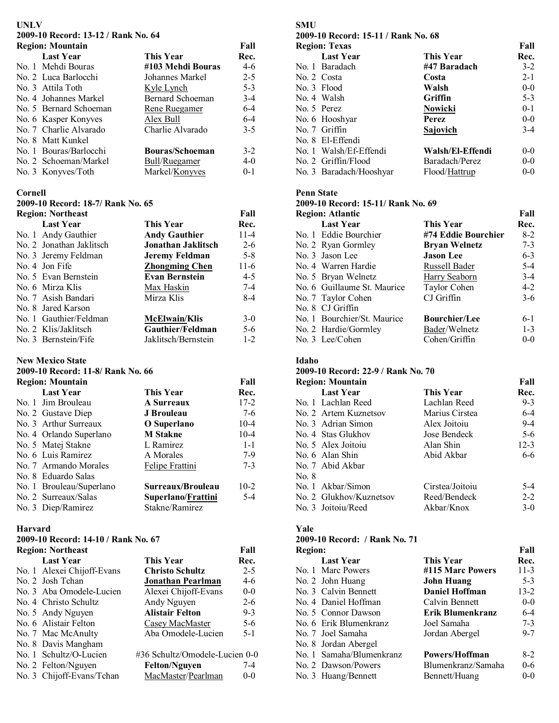### **UNLV**

**2009-10 Record: 13-12 / Rank No. 64** 

| <b>Region: Mountain</b> |                        | Fall    |
|-------------------------|------------------------|---------|
| <b>Last Year</b>        | This Year              | Rec.    |
| No. 1 Mehdi Bouras      | #103 Mehdi Bouras      | 4-6     |
| No. 2 Luca Barlocchi    | Johannes Markel        | $2 - 5$ |
| No. 3 Attila Toth       | Kyle Lynch             | $5 - 3$ |
| No. 4 Johannes Markel   | Bernard Schoeman       | $3-4$   |
| No. 5 Bernard Schoeman  | Rene Ruegamer          | $6-4$   |
| No. 6 Kasper Konyves    | Alex Bull              | $6-4$   |
| No. 7 Charlie Alvarado  | Charlie Alvarado       | $3-5$   |
| No. 8 Matt Kunkel       |                        |         |
| No. 1 Bouras/Barlocchi  | <b>Bouras/Schoeman</b> | $3-2$   |
| No. 2 Schoeman/Markel   | Bull/Ruegamer          | $4-0$   |
| No. 3 Konyves/Toth      | Markel/Konyves         | $0 - 1$ |

#### **Cornell**

# **2009-10 Record: 18-7/ Rank No. 65**

| <b>Region: Northeast</b> |                           | Fall    |
|--------------------------|---------------------------|---------|
| <b>Last Year</b>         | <b>This Year</b>          | Rec.    |
| No. 1 Andy Gauthier      | <b>Andy Gauthier</b>      | $11-4$  |
| No. 2 Jonathan Jaklitsch | <b>Jonathan Jaklitsch</b> | $2-6$   |
| No. 3 Jeremy Feldman     | Jeremy Feldman            | $5 - 8$ |
| No. 4 Jon Fife           | <b>Zhongming Chen</b>     | $11-6$  |
| No. 5 Evan Bernstein     | <b>Evan Bernstein</b>     | $4 - 5$ |
| No. 6 Mirza Klis         | Max Haskin                | $7-4$   |
| No. 7 Asish Bandari      | Mirza Klis                | $8-4$   |
| No. 8 Jared Karson       |                           |         |
| No. 1 Gauthier/Feldman   | <b>McElwain/Klis</b>      | $3-0$   |
| No. 2 Klis/Jaklitsch     | Gauthier/Feldman          | $5-6$   |
| No. 3 Bernstein/Fife     | Jaklitsch/Bernstein       | $1 - 2$ |

#### **New Mexico State**

#### **2009-10 Record: 11-8/ Rank No. 66**

| <b>Region: Mountain</b>  |                    | Fall    |
|--------------------------|--------------------|---------|
| <b>Last Year</b>         | <b>This Year</b>   | Rec.    |
| No. 1 Jim Brouleau       | <b>A Surreaux</b>  | $17-2$  |
| No. 2 Gustave Diep       | J Brouleau         | $7-6$   |
| No. 3 Arthur Surreaux    | O Superlano        | $10-4$  |
| No. 4 Orlando Superlano  | <b>M</b> Stakne    | $10-4$  |
| No. 5 Matej Stakne       | L Ramirez          | $1 - 1$ |
| No. 6 Luis Ramirez       | A Morales          | $7-9$   |
| No. 7 Armando Morales    | Felipe Frattini    | $7 - 3$ |
| No. 8 Eduardo Salas      |                    |         |
| No. 1 Brouleau/Superlano | Surreaux/Brouleau  | $10-2$  |
| No. 2 Surreaux/Salas     | Superlano/Frattini | $5-4$   |
| No. 3 Diep/Ramirez       | Stakne/Ramirez     |         |

## **Harvard**

# **2009-10 Record: 14-10 / Rank No. 67**

| <b>Region: Northeast</b> |                            |                                | Fall    |
|--------------------------|----------------------------|--------------------------------|---------|
|                          | <b>Last Year</b>           | This Year                      | Rec.    |
|                          | No. 1 Alexei Chijoff-Evans | <b>Christo Schultz</b>         | $2 - 5$ |
|                          | No. 2 Josh Tchan           | Jonathan Pearlman              | 4-6     |
|                          | No. 3 Aba Omodele-Lucien   | Alexei Chijoff-Evans           | $0-0$   |
|                          | No. 4 Christo Schultz      | Andy Nguyen                    | $2 - 6$ |
|                          | No. 5 Andy Nguyen          | <b>Alistair Felton</b>         | $9 - 3$ |
|                          | No. 6 Alistair Felton      | Casey MacMaster                | $5-6$   |
|                          | No. 7 Mac McAnulty         | Aba Omodele-Lucien             | $5 - 1$ |
|                          | No. 8 Davis Mangham        |                                |         |
|                          | No. 1 Schultz/O-Lucien     | #36 Schultz/Omodele-Lucien 0-0 |         |
|                          | No. 2 Felton/Nguyen        | <b>Felton/Nguyen</b>           | 7-4     |
|                          | No. 3 Chijoff-Evans/Tchan  | MacMaster/Pearlman             | $0 - 0$ |

# **SMU**

## **2009-10 Record: 15-11 / Rank No. 68**

| <b>Region: Texas</b>    |                  | Fall    |
|-------------------------|------------------|---------|
| <b>Last Year</b>        | This Year        | Rec.    |
| No. 1 Baradach          | #47 Baradach     | $3 - 2$ |
| No. 2 Costa             | Costa            | $2 - 1$ |
| No. 3 Flood             | Walsh            | $0-0$   |
| No. 4 Walsh             | Griffin          | $5 - 3$ |
| No. 5 Perez             | <b>Nowicki</b>   | $0 - 1$ |
| No. 6 Hooshyar          | Perez            | $0 - 0$ |
| No. 7 Griffin           | Sajovich         | $3-4$   |
| No. 8 El-Effendi        |                  |         |
| No. 1 Walsh/Ef-Effendi  | Walsh/El-Effendi | $0 - 0$ |
| No. 2 Griffin/Flood     | Baradach/Perez   | $0 - 0$ |
| No. 3 Baradach/Hooshyar | Flood/Hattrup    | $0 - 0$ |

### **Penn State**

## **2009-10 Record: 15-11/ Rank No. 69**

| <b>Region: Atlantic</b>     |                      | Fall    |
|-----------------------------|----------------------|---------|
| <b>Last Year</b>            | This Year            | Rec.    |
| No. 1 Eddie Bourchier       | #74 Eddie Bourchier  | $8-2$   |
| No. 2 Ryan Gormley          | <b>Bryan Welnetz</b> | $7 - 3$ |
| No. 3 Jason Lee             | <b>Jason</b> Lee     | $6 - 3$ |
| No. 4 Warren Hardie         | Russell Bader        | $5 - 4$ |
| No. 5 Bryan Welnetz         | Harry Seaborn        | $3-4$   |
| No. 6 Guillaume St. Maurice | Taylor Cohen         | $4 - 2$ |
| No. 7 Taylor Cohen          | CJ Griffin           | $3-6$   |
| No. 8 CJ Griffin            |                      |         |
| No. 1 Bourchier/St. Maurice | <b>Bourchier/Lee</b> | $6-1$   |
| No. 2 Hardie/Gormley        | Bader/Welnetz        | $1 - 3$ |
| No. 3 Lee/Cohen             | Cohen/Griffin        | $0 - 0$ |

#### **Idaho**

# **2009-10 Record: 22-9 / Rank No. 70**

|       | 2002 TO TWWD MI 22 2 / TWHIP 1901 / 0 |                 |         |
|-------|---------------------------------------|-----------------|---------|
|       | <b>Region: Mountain</b>               |                 | Fall    |
|       | <b>Last Year</b>                      | This Year       | Rec.    |
|       | No. 1 Lachlan Reed                    | Lachlan Reed    | $9-3$   |
|       | No. 2 Artem Kuznetsov                 | Marius Cirstea  | $6-4$   |
|       | No. 3 Adrian Simon                    | Alex Joitoiu    | $9 - 4$ |
|       | No. 4 Stas Glukhov                    | Jose Bendeck    | $5-6$   |
|       | No. 5 Alex Joitoiu                    | Alan Shin       | $12-3$  |
|       | No. 6 Alan Shin                       | Abid Akbar      | 6-6     |
|       | No. 7 Abid Akbar                      |                 |         |
| No. 8 |                                       |                 |         |
|       | No. 1 Akbar/Simon                     | Cirstea/Joitoiu | $5-4$   |
|       | No. 2 Glukhov/Kuznetsov               | Reed/Bendeck    | $2 - 2$ |
|       | No. 3 Joitoiu/Reed                    | Akbar/Knox      | $3-0$   |
|       |                                       |                 |         |

## **Yale**

#### **2009-10 Record: / Rank No. 71 Region: Fall**

| Rec.     |
|----------|
| $11-3$   |
| $5-3$    |
| $13 - 2$ |
| $0-0$    |
| $6 - 4$  |
| $7 - 3$  |
| $9 - 7$  |
|          |
| $8-2$    |
| $0 - 6$  |
| $0-0$    |
|          |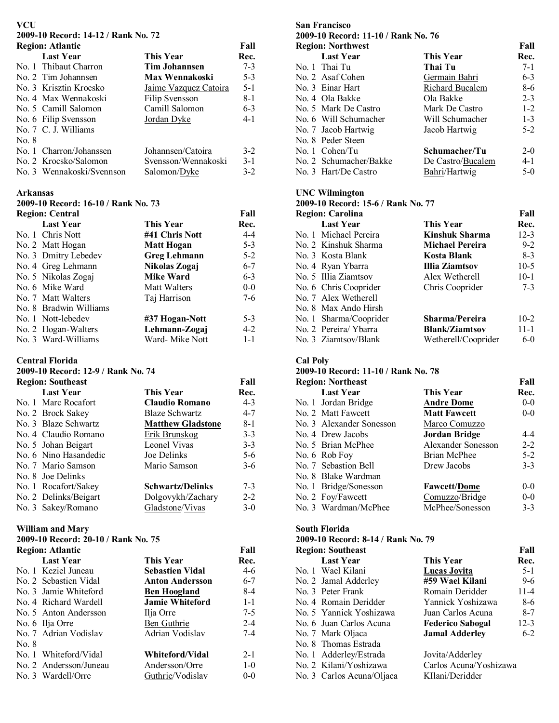#### **VCU**

**2009-10 Record: 14-12 / Rank No. 72** 

|       | <b>Region: Atlantic</b>   |                       | Fall    |
|-------|---------------------------|-----------------------|---------|
|       | <b>Last Year</b>          | <b>This Year</b>      | Rec.    |
|       | No. 1 Thibaut Charron     | Tim Johannsen         | $7 - 3$ |
|       | No. 2 Tim Johannsen       | Max Wennakoski        | $5 - 3$ |
|       | No. 3 Krisztin Krocsko    | Jaime Vazquez Catoira | $5 - 1$ |
|       | No. 4 Max Wennakoski      | <b>Filip Svensson</b> | 8-1     |
|       | No. 5 Camill Salomon      | Camill Salomon        | $6 - 3$ |
|       | No. 6 Filip Svensson      | Jordan Dyke           | $4 - 1$ |
|       | No. 7 C. J. Williams      |                       |         |
| No. 8 |                           |                       |         |
|       | No. 1 Charron/Johanssen   | Johannsen/Catoira     | $3-2$   |
|       | No. 2 Krocsko/Salomon     | Svensson/Wennakoski   | $3-1$   |
|       | No. 3 Wennakoski/Svennson | Salomon/Dyke          | $3-2$   |

#### **Arkansas**

**2009-10 Record: 16-10 / Rank No. 73** 

| <b>Region: Central</b> |                     | Fall    |
|------------------------|---------------------|---------|
| <b>Last Year</b>       | This Year           | Rec.    |
| No. 1 Chris Nott       | #41 Chris Nott      | $4 - 4$ |
| No. 2 Matt Hogan       | <b>Matt Hogan</b>   | $5 - 3$ |
| No. 3 Dmitry Lebedev   | <b>Greg Lehmann</b> | $5 - 2$ |
| No. 4 Greg Lehmann     | Nikolas Zogaj       | $6 - 7$ |
| No. 5 Nikolas Zogaj    | <b>Mike Ward</b>    | $6 - 3$ |
| No. 6 Mike Ward        | Matt Walters        | $0-0$   |
| No. 7 Matt Walters     | Taj Harrison        | $7-6$   |
| No. 8 Bradwin Williams |                     |         |
| No. 1 Nott-lebedev     | #37 Hogan-Nott      | $5 - 3$ |
| No. 2 Hogan-Walters    | Lehmann-Zogaj       | $4 - 2$ |
| No. 3 Ward-Williams    | Ward- Mike Nott     | $1 - 1$ |

#### **Central Florida**

### **2009-10 Record: 12-9 / Rank No. 74**

| <b>Region: Southeast</b> |                       | Fall                     |         |
|--------------------------|-----------------------|--------------------------|---------|
|                          | <b>Last Year</b>      | This Year                | Rec.    |
|                          | No. 1 Marc Rocafort   | <b>Claudio Romano</b>    | 4-3     |
|                          | No. 2 Brock Sakey     | <b>Blaze Schwartz</b>    | $4 - 7$ |
|                          | No. 3 Blaze Schwartz  | <b>Matthew Gladstone</b> | $8 - 1$ |
|                          | No. 4 Claudio Romano  | Erik Brunskog            | $3 - 3$ |
|                          | No. 5 Johan Beigart   | Leonel Vivas             | $3 - 3$ |
|                          | No. 6 Nino Hasandedic | Joe Delinks              | $5-6$   |
|                          | No. 7 Mario Samson    | Mario Samson             | $3-6$   |
|                          | No. 8 Joe Delinks     |                          |         |
|                          | No. 1 Rocafort/Sakey  | <b>Schwartz/Delinks</b>  | $7 - 3$ |
|                          | No. 2 Delinks/Beigart | Dolgovykh/Zachary        | $2 - 2$ |
|                          | No. 3 Sakey/Romano    | Gladstone/Vivas          | $3-0$   |

#### **William and Mary**

**2009-10 Record: 20-10 / Rank No. 75** 

| <b>Region: Atlantic</b> |                        | Fall                   |         |
|-------------------------|------------------------|------------------------|---------|
|                         | <b>Last Year</b>       | <b>This Year</b>       | Rec.    |
|                         | No. 1 Keziel Juneau    | <b>Sebastien Vidal</b> | $4-6$   |
|                         | No. 2 Sebastien Vidal  | <b>Anton Andersson</b> | $6 - 7$ |
|                         | No. 3 Jamie Whiteford  | <b>Ben Hoogland</b>    | $8-4$   |
|                         | No. 4 Richard Wardell  | <b>Jamie Whiteford</b> | $1 - 1$ |
|                         | No. 5 Anton Andersson  | Ilja Orre              | 7-5     |
|                         | No. 6 Ilja Orre        | Ben Guthrie            | $2 - 4$ |
|                         | No. 7 Adrian Vodislav  | Adrian Vodislav        | $7 - 4$ |
| No. 8                   |                        |                        |         |
|                         | No. 1 Whiteford/Vidal  | Whiteford/Vidal        | $2 - 1$ |
|                         | No. 2 Andersson/Juneau | Andersson/Orre         | $1-0$   |
|                         | No. 3 Wardell/Orre     | Guthrie/Vodislav       | $0 - 0$ |

## **San Francisco 2009-10 Record: 11-10 / Rank No. 76 Region: Northwest Fall C**<br>**Thai Tu Rec.**<br>**Thai Tu** *T* No. 1 Thai Tu<br>No. 2 Asaf Cohen **Thai Tu**<br>Germain Bahri No. 2 Asaf Cohen Germain Bahri 6-3<br>No. 3 Einar Hart Richard Bucalem 8-6 Richard Bucalem<br>Ola Bakke No. 4 Ola Bakke Ola Bakke 2-3 No. 5 Mark De Castro Mark De Castro 1-2 No. 6 Will Schumacher Will Schumacher 1-3 No. 7 Jacob Hartwig Jacob Hartwig 5-2 No. 8 Peder Steen No. 1 Cohen/Tu **Schumacher/Tu** 2-0 No. 2 Schumacher/Bakke De Castro/Bucalem 4-1 No. 3 Hart/De Castro Bahri/Hartwig 5-0

## **UNC Wilmington**

## **2009-10 Record: 15-6 / Rank No. 77**

| <b>Region: Carolina</b><br>Fall |                        |          |  |
|---------------------------------|------------------------|----------|--|
| <b>Last Year</b>                | This Year              | Rec.     |  |
| No. 1 Michael Pereira           | <b>Kinshuk Sharma</b>  | $12 - 3$ |  |
| No. 2 Kinshuk Sharma            | <b>Michael Pereira</b> | $9 - 2$  |  |
| No. 3 Kosta Blank               | Kosta Blank            | $8-3$    |  |
| No. 4 Ryan Ybarra               | <b>Illia Ziamtsov</b>  | $10-5$   |  |
| No. 5 Illia Ziamtsov            | Alex Wetherell         | $10-1$   |  |
| No. 6 Chris Cooprider           | Chris Cooprider        | $7 - 3$  |  |
| No. 7 Alex Wetherell            |                        |          |  |
| No. 8 Max Ando Hirsh            |                        |          |  |
| No. 1 Sharma/Cooprider          | Sharma/Pereira         | $10-2$   |  |
| No. 2 Pereira/Ybarra            | <b>Blank/Ziamtsov</b>  | $11 - 1$ |  |
| No. 3 Ziamtsov/Blank            | Wetherell/Cooprider    | $6-0$    |  |

#### **Cal Poly**

# **2009-10 Record: 11-10 / Rank No. 78**

| <b>Region: Northeast</b> |                          |                     | Fall    |
|--------------------------|--------------------------|---------------------|---------|
|                          | <b>Last Year</b>         | This Year           | Rec.    |
|                          | No. 1 Jordan Bridge      | <b>Andre Dome</b>   | $0-0$   |
|                          | No. 2 Matt Fawcett       | <b>Matt Fawcett</b> | $0-0$   |
|                          | No. 3 Alexander Sonesson | Marco Comuzzo       |         |
|                          | No. 4 Drew Jacobs        | Jordan Bridge       | 4-4     |
|                          | No. 5 Brian McPhee       | Alexander Sonesson  | $2 - 2$ |
|                          | No. 6 Rob Foy            | Brian McPhee        | $5-2$   |
|                          | No. 7 Sebastion Bell     | Drew Jacobs         | $3-3$   |
|                          | No. 8 Blake Wardman      |                     |         |
|                          | No. 1 Bridge/Sonesson    | <b>Fawcett/Dome</b> | $0-0$   |
|                          | No. 2 Foy/Fawcett        | Comuzzo/Bridge      | $0-0$   |
|                          | No. 3 Wardman/McPhee     | McPhee/Sonesson     | $3 - 3$ |

### **South Florida**

#### **2009-10 Record: 8-14 / Rank No. 79**

| <b>Region: Southeast</b>  |                         | Fall     |
|---------------------------|-------------------------|----------|
| <b>Last Year</b>          | This Year               | Rec.     |
| No. 1 Wael Kilani         | <b>Lucas Jovita</b>     | $5-1$    |
| No. 2 Jamal Adderley      | #59 Wael Kilani         | $9-6$    |
| No. 3 Peter Frank         | Romain Deridder         | $11 - 4$ |
| No. 4 Romain Deridder     | Yannick Yoshizawa       | 8-6      |
| No. 5 Yannick Yoshizawa   | Juan Carlos Acuna       | $8 - 7$  |
| No. 6 Juan Carlos Acuna   | <b>Federico Sabogal</b> | $12 - 3$ |
| No. 7 Mark Oljaca         | <b>Jamal Adderley</b>   | $6 - 2$  |
| No. 8 Thomas Estrada      |                         |          |
| No. 1 Adderley/Estrada    | Jovita/Adderley         |          |
| No. 2 Kilani/Yoshizawa    | Carlos Acuna/Yoshizawa  |          |
| No. 3 Carlos Acuna/Oliaca | KIlani/Deridder         |          |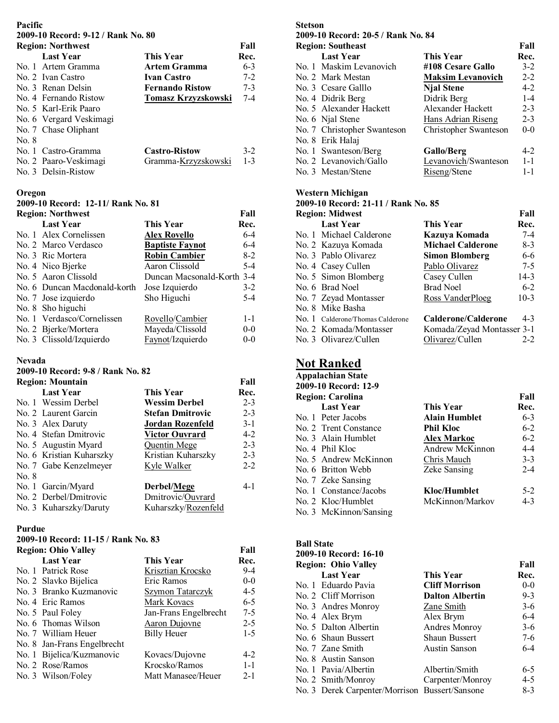## **Pacific**

**2009-10 Record: 9-12 / Rank No. 80** 

|       | <b>Region: Northwest</b> |                        | Fall    |
|-------|--------------------------|------------------------|---------|
|       | <b>Last Year</b>         | <b>This Year</b>       | Rec.    |
|       | No. 1 Artem Gramma       | Artem Gramma           | $6-3$   |
|       | No. 2 Ivan Castro        | <b>Ivan Castro</b>     | $7-2$   |
|       | No 3 Renan Delsin        | <b>Fernando Ristow</b> | $7 - 3$ |
|       | No. 4 Fernando Ristow    | Tomasz Krzyzskowski    | $7 - 4$ |
|       | No. 5 Karl-Erik Paaro    |                        |         |
|       | No. 6 Vergard Veskimagi  |                        |         |
|       | No. 7 Chase Oliphant     |                        |         |
| No. 8 |                          |                        |         |
|       | No. 1 Castro-Gramma      | <b>Castro-Ristow</b>   | $3-2$   |
|       | No. 2 Paaro-Veskimagi    | Gramma-Krzyzskowski    | $1 - 3$ |
|       | No. 3 Delsin-Ristow      |                        |         |

### **Oregon**

**2009-10 Record: 12-11/ Rank No. 81** 

| <b>Region: Northwest</b><br>Fall |                              |                            |         |
|----------------------------------|------------------------------|----------------------------|---------|
|                                  | <b>Last Year</b>             | This Year                  | Rec.    |
|                                  | No. 1 Alex Cornelissen       | <b>Alex Rovello</b>        | $6 - 4$ |
|                                  | No. 2 Marco Verdasco         | <b>Baptiste Faynot</b>     | $6-4$   |
|                                  | No. 3 Ric Mortera            | <b>Robin Cambier</b>       | $8-2$   |
|                                  | No. 4 Nico Bjerke            | Aaron Clissold             | $5-4$   |
|                                  | No. 5 Aaron Clissold         | Duncan Macsonald-Korth 3-4 |         |
|                                  | No. 6 Duncan Macdonald-korth | Jose Izquierdo             | $3-2$   |
|                                  | No. 7 Jose izquierdo         | Sho Higuchi                | $5-4$   |
|                                  | No. 8 Sho higuchi            |                            |         |
|                                  | No. 1 Verdasco/Cornelissen   | Rovello/Cambier            | $1 - 1$ |
|                                  | No. 2 Bjerke/Mortera         | Mayeda/Clissold            | $0-0$   |
|                                  | No. 3 Clissold/Izquierdo     | Faynot/Izquierdo           | $0 - 0$ |

## **Nevada**

## **2009-10 Record: 9-8 / Rank No. 82**

|       | <b>Region: Mountain</b>  |                         | Fall    |
|-------|--------------------------|-------------------------|---------|
|       | <b>Last Year</b>         | This Year               | Rec.    |
|       | No. 1 Wessim Derbel      | Wessim Derbel           | $2 - 3$ |
|       | No. 2 Laurent Garcin     | <b>Stefan Dmitrovic</b> | $2 - 3$ |
|       | No. 3 Alex Daruty        | Jordan Rozenfeld        | $3-1$   |
|       | No. 4 Stefan Dmitrovic   | <b>Victor Ouvrard</b>   | $4 - 2$ |
|       | No. 5 Augustin Myard     | Quentin Mege            | $2 - 3$ |
|       | No. 6 Kristian Kuharszky | Kristian Kuharszky      | $2 - 3$ |
|       | No. 7 Gabe Kenzelmeyer   | Kyle Walker             | $2 - 2$ |
| No. 8 |                          |                         |         |
|       | No. 1 Garcin/Myard       | Derbel/Mege             | 4-1     |
|       | No. 2 Derbel/Dmitrovic   | Dmitrovic/Ouvrard       |         |
|       | No. 3 Kuharszky/Daruty   | Kuharszky/Rozenfeld     |         |

## **Purdue**

# **2009-10 Record: 11-15 / Rank No. 83**

| <b>Region: Ohio Valley</b> |                             |                       | Fall    |
|----------------------------|-----------------------------|-----------------------|---------|
|                            | <b>Last Year</b>            | This Year             | Rec.    |
|                            | No. 1 Patrick Rose          | Krisztian Krocsko     | $9-4$   |
|                            | No. 2 Slavko Bijelica       | Eric Ramos            | $0-0$   |
|                            | No. 3 Branko Kuzmanovic     | Szymon Tatarczyk      | $4 - 5$ |
|                            | No. 4 Eric Ramos            | Mark Kovacs           | $6-5$   |
|                            | No. 5 Paul Foley            | Jan-Frans Engelbrecht | $7 - 5$ |
|                            | No. 6 Thomas Wilson         | Aaron Dujovne         | $2 - 5$ |
|                            | No. 7 William Heuer         | <b>Billy Heuer</b>    | $1-5$   |
|                            | No. 8 Jan-Frans Engelbrecht |                       |         |
|                            | No. 1 Bijelica/Kuzmanovic   | Kovacs/Dujovne        | $4-2$   |
|                            | No. 2 Rose/Ramos            | Krocsko/Ramos         | $1 - 1$ |
|                            | No. 3 Wilson/Foley          | Matt Manasee/Heuer    | $2 - 1$ |

#### **Stetson**

| 2009-10 Record: 20-5 / Rank No. 84 |                          |         |  |
|------------------------------------|--------------------------|---------|--|
| <b>Region: Southeast</b>           |                          |         |  |
| <b>Last Year</b>                   | <b>This Year</b>         | Rec.    |  |
| No. 1 Maskim Levanovich            | #108 Cesare Gallo        | $3-2$   |  |
| No. 2 Mark Mestan                  | <b>Maksim Levanovich</b> | $2 - 2$ |  |
| No. 3 Cesare Galllo                | <b>Njal Stene</b>        | $4 - 2$ |  |
| No. 4 Didrik Berg                  | Didrik Berg              | $1 - 4$ |  |
| No. 5 Alexander Hackett            | Alexander Hackett        | $2 - 3$ |  |
| No. 6 Njal Stene                   | Hans Adrian Riseng       | $2 - 3$ |  |
| No. 7 Christopher Swanteson        | Christopher Swanteson    | $0 - 0$ |  |
| No. 8 Erik Halaj                   |                          |         |  |
| No. 1 Swanteson/Berg               | <b>Gallo/Berg</b>        | $4 - 2$ |  |
| No. 2 Levanovich/Gallo             | Levanovich/Swanteson     | $1 - 1$ |  |
| No. 3 Mestan/Stene                 | Riseng/Stene             | $1 - 1$ |  |
|                                    |                          |         |  |

### **Western Michigan**

#### **2009-10 Record: 21-11 / Rank No. 85**

| <b>Region: Midwest</b><br>Fall |                                  |                            |         |
|--------------------------------|----------------------------------|----------------------------|---------|
|                                | <b>Last Year</b>                 | <b>This Year</b>           | Rec.    |
|                                | No. 1 Michael Calderone          | Kazuya Komada              | $7-4$   |
|                                | No. 2 Kazuya Komada              | <b>Michael Calderone</b>   | $8-3$   |
|                                | No. 3 Pablo Olivarez             | <b>Simon Blomberg</b>      | $6-6$   |
|                                | No. 4 Casey Cullen               | Pablo Olivarez             | $7-5$   |
|                                | No. 5 Simon Blomberg             | Casey Cullen               | $14-3$  |
|                                | No. 6 Brad Noel                  | <b>Brad Noel</b>           | $6-2$   |
|                                | No. 7 Zeyad Montasser            | Ross VanderPloeg           | $10-3$  |
|                                | No. 8 Mike Basha                 |                            |         |
|                                | No. 1 Calderone/Thomas Calderone | Calderone/Calderone        | $4 - 3$ |
|                                | No. 2 Komada/Montasser           | Komada/Zeyad Montasser 3-1 |         |
|                                | No. 3 Olivarez/Cullen            | Olivarez/Cullen            | $2 - 2$ |

# **Not Ranked**

| <b>Appalachian State</b> |                         |                      |         |  |
|--------------------------|-------------------------|----------------------|---------|--|
|                          | 2009-10 Record: 12-9    |                      |         |  |
|                          | <b>Region: Carolina</b> |                      | Fall    |  |
|                          | <b>Last Year</b>        | <b>This Year</b>     | Rec.    |  |
|                          | No. 1 Peter Jacobs      | <b>Alain Humblet</b> | $6 - 3$ |  |
|                          | No. 2 Trent Constance   | <b>Phil Kloc</b>     | $6 - 2$ |  |
|                          | No. 3 Alain Humblet     | <b>Alex Markoc</b>   | $6 - 2$ |  |
|                          | No. 4 Phil Kloc         | Andrew McKinnon      | $4 - 4$ |  |
|                          | No. 5 Andrew McKinnon   | Chris Mauch          | $3 - 3$ |  |
|                          | No. 6 Britton Webb      | <b>Zeke Sansing</b>  | $2 - 4$ |  |
|                          | No. 7 Zeke Sansing      |                      |         |  |
|                          | No. 1 Constance/Jacobs  | Kloc/Humblet         | $5-2$   |  |
|                          | No. 2 Kloc/Humblet      | McKinnon/Markov      | $4 - 3$ |  |
|                          | No. 3 McKinnon/Sansing  |                      |         |  |

| <b>Ball State</b>                              |                        |         |
|------------------------------------------------|------------------------|---------|
| 2009-10 Record: 16-10                          |                        |         |
| <b>Region: Ohio Valley</b>                     |                        | Fall    |
| <b>Last Year</b>                               | This Year              | Rec.    |
| No. 1 Eduardo Pavia                            | <b>Cliff Morrison</b>  | $0-0$   |
| No. 2 Cliff Morrison                           | <b>Dalton Albertin</b> | $9 - 3$ |
| No. 3 Andres Monroy                            | Zane Smith             | $3-6$   |
| No. 4 Alex Brym                                | Alex Brym              | $6 - 4$ |
| No. 5 Dalton Albertin                          | Andres Monroy          | $3-6$   |
| No. 6 Shaun Bussert                            | <b>Shaun Bussert</b>   | $7-6$   |
| No. 7 Zane Smith                               | <b>Austin Sanson</b>   | $6-4$   |
| No. 8 Austin Sanson                            |                        |         |
| No. 1 Pavia/Albertin                           | Albertin/Smith         | 6-5     |
| No. 2 Smith/Monroy                             | Carpenter/Monroy       | $4 - 5$ |
| No. 3 Derek Carpenter/Morrison Bussert/Sansone |                        | $8-3$   |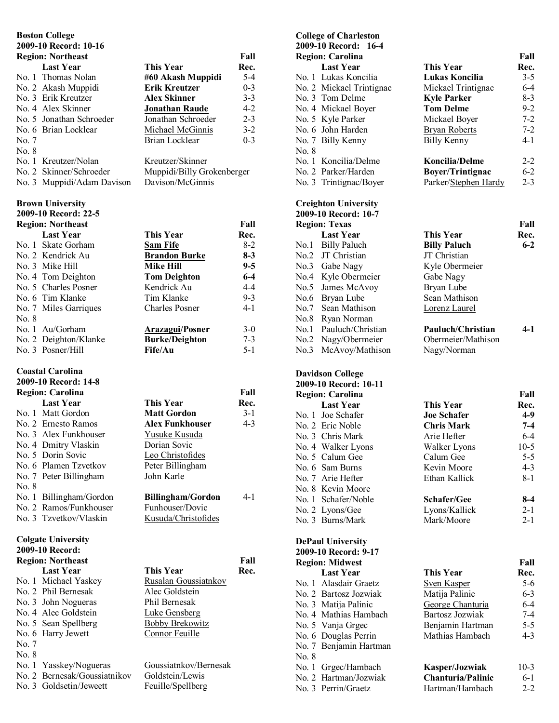# **Boston College**

|       | 2009-10 Record: 10-16      |                            |         |
|-------|----------------------------|----------------------------|---------|
|       | <b>Region: Northeast</b>   |                            | Fall    |
|       | <b>Last Year</b>           | <b>This Year</b>           | Rec.    |
|       | No. 1 Thomas Nolan         | #60 Akash Muppidi          | $5-4$   |
|       | No. 2 Akash Muppidi        | <b>Erik Kreutzer</b>       | $0 - 3$ |
|       | No. 3 Erik Kreutzer        | <b>Alex Skinner</b>        | $3 - 3$ |
|       | No. 4 Alex Skinner         | <b>Jonathan Raude</b>      | $4 - 2$ |
|       | No. 5 Jonathan Schroeder   | Jonathan Schroeder         | $2 - 3$ |
|       | No. 6 Brian Locklear       | Michael McGinnis           | $3-2$   |
| No. 7 |                            | Brian Locklear             | $0 - 3$ |
| No. 8 |                            |                            |         |
|       | No. 1 Kreutzer/Nolan       | Kreutzer/Skinner           |         |
|       | No. 2 Skinner/Schroeder    | Muppidi/Billy Grokenberger |         |
|       | No. 3 Muppidi/Adam Davison | Davison/McGinnis           |         |
|       | <b>Brown University</b>    |                            |         |
|       | 2009-10 Record: 22-5       |                            |         |
|       | <b>Region: Northeast</b>   |                            | Fall    |
|       | <b>Last Year</b>           | <b>This Year</b>           | Rec.    |
|       | No. 1 Skate Gorham         | <b>Sam Fife</b>            | $8 - 2$ |
|       | No. 2 Kendrick Au          | <b>Brandon Burke</b>       | $8 - 3$ |
|       | No. 3 Mike Hill            | <b>Mike Hill</b>           | $9 - 5$ |
|       | No. 4 Tom Deighton         | <b>Tom Deighton</b>        | $6-4$   |
|       | No. 5 Charles Posner       | Kendrick Au                | $4-4$   |
|       | No. 6 Tim Klanke           | Tim Klanke                 | $9 - 3$ |
|       | No. 7 Miles Garriques      | <b>Charles Posner</b>      | $4 - 1$ |
| No. 8 |                            |                            |         |
|       | No. 1 Au/Gorham            | <b>Arazagui/Posner</b>     | $3-0$   |
|       | No. 2 Deighton/Klanke      | <b>Burke/Deighton</b>      | $7 - 3$ |
|       | No. 3 Posner/Hill          | Fife/Au                    | $5 - 1$ |
|       | <b>Coastal Carolina</b>    |                            |         |
|       | 2009-10 Record: 14-8       |                            |         |
|       | <b>Region: Carolina</b>    |                            | Fall    |
|       | <b>Last Year</b>           | This Year                  | Rec.    |
|       | No. 1 Matt Gordon          | <b>Matt Gordon</b>         | $3-1$   |
|       | No. 2 Ernesto Ramos        | Alex Funkhouser            | $4 - 3$ |
|       | No. 3 Alex Funkhouser      | Yusuke Kusuda              |         |
|       | No. 4 Dmitry Vlaskin       | Dorian Sovic               |         |
|       | No. 5 Dorin Sovic          | <b>Leo Christofides</b>    |         |
| No. 6 | Plamen Tzvetkov            | Peter Billingham           |         |
| No. 7 | Peter Billingham           | John Karle                 |         |
| No. 8 |                            |                            |         |
| No. 1 | Billingham/Gordon          | <b>Billingham/Gordon</b>   | 4-1     |
|       | No. 2 Ramos/Funkhouser     | Funhouser/Dovic            |         |
|       | No. 3 Tzvetkov/Vlaskin     | Kusuda/Christofides        |         |
|       | <b>Colgate University</b>  |                            |         |

|       | <b>Region: Northeast</b>     |                        | Fall |
|-------|------------------------------|------------------------|------|
|       | <b>Last Year</b>             | This Year              | Rec. |
|       | No. 1 Michael Yaskey         | Rusalan Goussiatnkov   |      |
|       | No. 2 Phil Bernesak          | Alec Goldstein         |      |
|       | No. 3 John Nogueras          | Phil Bernesak          |      |
|       | No. 4 Alec Goldstein         | <b>Luke Gensberg</b>   |      |
|       | No. 5 Sean Spellberg         | <b>Bobby Brekowitz</b> |      |
|       | No. 6 Harry Jewett           | Connor Feuille         |      |
| No. 7 |                              |                        |      |
| No. 8 |                              |                        |      |
|       | No. 1 Yasskey/Nogueras       | Goussiatnkov/Bernesak  |      |
|       | No. 2 Bernesak/Goussiatnikov | Goldstein/Lewis        |      |

No. 2 Bernesak/Go No. 3 Goldsetin/Jeweett Feuille/Spellberg

**2009-10 Record:** 

| <b>College of Charleston</b><br>2009-10 Record: 16-4 |                          |                         |         |
|------------------------------------------------------|--------------------------|-------------------------|---------|
|                                                      | <b>Region: Carolina</b>  |                         | Fall    |
|                                                      | <b>Last Year</b>         | This Year               | Rec.    |
|                                                      | No. 1 Lukas Koncilia     | Lukas Koncilia          | $3 - 5$ |
|                                                      | No. 2 Mickael Trintignac | Mickael Trintignac      | $6 - 4$ |
|                                                      | No. 3 Tom Delme          | <b>Kyle Parker</b>      | $8-3$   |
|                                                      | No. 4 Mickael Boyer      | <b>Tom Delme</b>        | $9 - 2$ |
|                                                      | No. 5 Kyle Parker        | Mickael Boyer           | $7 - 2$ |
|                                                      | No. 6 John Harden        | <b>Bryan Roberts</b>    | $7 - 2$ |
|                                                      | No. 7 Billy Kenny        | <b>Billy Kenny</b>      | $4 - 1$ |
| No. 8                                                |                          |                         |         |
|                                                      | No. 1 Koncilia/Delme     | Koncilia/Delme          | $2 - 2$ |
|                                                      | No. 2 Parker/Harden      | <b>Boyer/Trintignac</b> | $6 - 2$ |
|                                                      | No. 3 Trintignac/Boyer   | Parker/Stephen Hardy    | $2 - 3$ |

#### **Creighton University 2009-10 Record: 10-7**

| <b>Region: Texas</b>   |                     | Fall  |
|------------------------|---------------------|-------|
| <b>Last Year</b>       | <b>This Year</b>    | Rec.  |
| No.1 Billy Paluch      | <b>Billy Paluch</b> | $6-2$ |
| No.2 JT Christian      | JT Christian        |       |
| No.3 Gabe Nagy         | Kyle Obermeier      |       |
| No.4 Kyle Obermeier    | Gabe Nagy           |       |
| No.5 James McAvoy      | Bryan Lube          |       |
| No.6 Bryan Lube        | Sean Mathison       |       |
| No.7 Sean Mathison     | Lorenz Laurel       |       |
| No.8 Ryan Norman       |                     |       |
| No.1 Pauluch/Christian | Pauluch/Christian   | 4-1   |
| No.2 Nagy/Obermeier    | Obermeier/Mathison  |       |
| No.3 McAvoy/Mathison   | Nagy/Norman         |       |

#### **Davidson College**

| 2009-10 Record: 10-11   |                    |         |
|-------------------------|--------------------|---------|
| <b>Region: Carolina</b> |                    | Fall    |
| <b>Last Year</b>        | <b>This Year</b>   | Rec.    |
| No. 1 Joe Schafer       | <b>Joe Schafer</b> | $4-9$   |
| No. 2 Eric Noble        | <b>Chris Mark</b>  | $7-4$   |
| No. 3 Chris Mark        | Arie Hefter        | $6 - 4$ |
| No. 4 Walker Lyons      | Walker Lyons       | $10-5$  |
| No. 5 Calum Gee         | Calum Gee          | $5 - 5$ |
| No. 6 Sam Burns         | Kevin Moore        | $4 - 3$ |
| No. 7 Arie Hefter       | Ethan Kallick      | 8-1     |
| No. 8 Kevin Moore       |                    |         |
| No. 1 Schafer/Noble     | <b>Schafer/Gee</b> | $8-4$   |
| No. 2 Lyons/Gee         | Lyons/Kallick      | $2 - 1$ |
| No. 3 Burns/Mark        | Mark/Moore         | $2 - 1$ |
|                         |                    |         |

#### **DePaul University 2009-10 Record: 9-17 Region: Midwest Fall Last Year This Year Rec.**  No. 1 Alasdair Graetz Sven Kasper 5-6 No. 2 Bartosz Jozwiak Matija Palinic 6-3 No. 3 Matija Palinic George Chanturia 6-4 No. 4 Mathias Hambach Bartosz Jozwiak 7-4 No. 5 Vanja Grgec Benjamin Hartman 5-5 No. 6 Douglas Perrin Mathias Hambach 4-3

- No. 7 Benjamin Hartman
- No. 8

| No. 1 Grgec/Hambach   | Kasper/Jozwiak           | $10-3$  |
|-----------------------|--------------------------|---------|
| No. 2 Hartman/Jozwiak | <b>Chanturia/Palinic</b> | $6-1$   |
| No. 3 Perrin/Graetz   | Hartman/Hambach          | $2 - 2$ |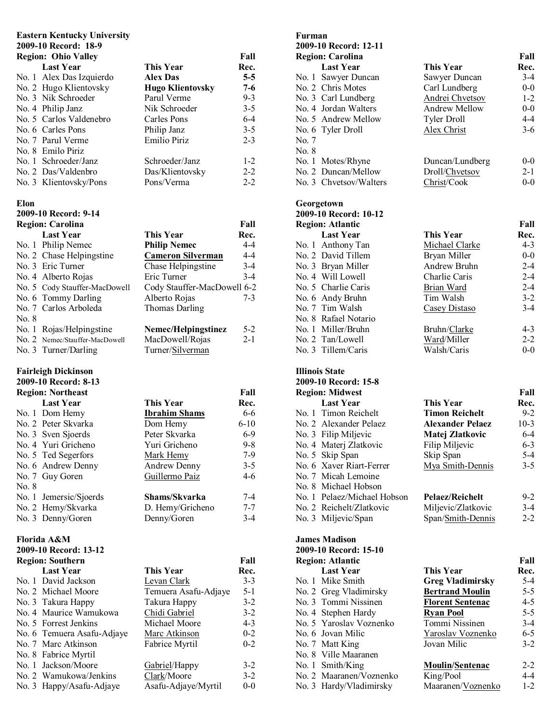# **Eastern Kentucky University**

#### **2009-10 Record: 18-9 Region: Ohio Valley Fall**

| <b>Region: Ohio Valley</b> |                         | Fall    |
|----------------------------|-------------------------|---------|
| <b>Last Year</b>           | This Year               | Rec.    |
| No. 1 Alex Das Izquierdo   | <b>Alex Das</b>         | $5 - 5$ |
| No. 2 Hugo Klientovsky     | <b>Hugo Klientovsky</b> | 7-6     |
| No. 3 Nik Schroeder        | Parul Verme             | $9 - 3$ |
| No. 4 Philip Janz          | Nik Schroeder           | $3 - 5$ |
| No. 5 Carlos Valdenebro    | Carles Pons             | $6-4$   |
| No. 6 Carles Pons          | Philip Janz             | $3 - 5$ |
| No. 7 Parul Verme          | Emilio Piriz            | $2 - 3$ |
| No. 8 Emilo Piriz          |                         |         |
| No. 1 Schroeder/Janz       | Schroeder/Janz          | $1-2$   |
| No. 2 Das/Valdenbro        | Das/Klientovsky         | $2 - 2$ |
| No. 3 Klientovsky/Pons     | Pons/Verma              | $2 - 2$ |

#### **Elon**

#### **2009-10 Record: 9-14 Region: Carolina Fall Last Year This Year Rec.**  No. 1 Philip Nemec **Philip Nemec** 4-4 No. 2 Chase Helpingstine **Cameron Silverman** 4-4 No. 3 Eric Turner Chase Helpingstine 3-4 No. 4 Alberto Rojas Eric Turner 3-4 No. 5 Cody Stauffer-MacDowell Cody Stauffer-MacDowell 6-2 No. 6 Tommy Darling Alberto Rojas 7-3 No. 7 Carlos Arboleda Thomas Darling No. 8 No. 1 Rojas/Helpingstine **Nemec/Helpingstinez** 5-2 No. 2 Nemec/Stauffer-MacDowell MacDowell/Rojas 2-1 No. 3 Turner/Darling Turner/Silverman

#### **Fairleigh Dickinson 2009-10 Record: 8-13**

|       | <b>Region: Northeast</b> |                      | Fall     |
|-------|--------------------------|----------------------|----------|
|       | <b>Last Year</b>         | <b>This Year</b>     | Rec.     |
|       | No. 1 Dom Hemy           | <b>Ibrahim Shams</b> | 6-6      |
|       | No. 2 Peter Skvarka      | Dom Hemy             | $6 - 10$ |
|       | No. 3 Sven Sjoerds       | Peter Skvarka        | $6-9$    |
|       | No. 4 Yuri Gricheno      | Yuri Gricheno        | $9 - 8$  |
|       | No. 5 Ted Segerfors      | Mark Hemy            | $7-9$    |
|       | No. 6 Andrew Denny       | Andrew Denny         | $3 - 5$  |
|       | No. 7 Guy Goren          | Guillermo Paiz       | $4-6$    |
| No. 8 |                          |                      |          |
|       | No. 1 Jemersic/Sjoerds   | Shams/Skvarka        | 7-4      |
|       | No. 2 Hemy/Skvarka       | D. Hemy/Gricheno     | $7 - 7$  |
|       | No. 3 Denny/Goren        | Denny/Goren          | $3-4$    |

#### **Florida A&M**

| 2009-10 Record: 13-12      |                      |         |
|----------------------------|----------------------|---------|
| <b>Region: Southern</b>    |                      | Fall    |
| <b>Last Year</b>           | <b>This Year</b>     | Rec.    |
| No. 1 David Jackson        | Levan Clark          | $3-3$   |
| No. 2 Michael Moore        | Temuera Asafu-Adjaye | $5 - 1$ |
| No. 3 Takura Happy         | Takura Happy         | $3 - 2$ |
| No. 4 Maurice Wamukowa     | Chidi Gabriel        | $3 - 2$ |
| No. 5 Forrest Jenkins      | Michael Moore        | $4 - 3$ |
| No. 6 Temuera Asafu-Adjaye | Marc Atkinson        | $0 - 2$ |
| No. 7 Marc Atkinson        | Fabrice Myrtil       | $0 - 2$ |
| No. 8 Fabrice Myrtil       |                      |         |
| No. 1 Jackson/Moore        | Gabriel/Happy        | $3-2$   |
| No. 2 Wamukowa/Jenkins     | Clark/Moore          | $3-2$   |
| No. 3 Happy/Asafu-Adjaye   | Asafu-Adjaye/Myrtil  | $0 - 0$ |

#### **Furman 2009-10 Record: 12-11 Region: Carolina Fall Last Year This Year Rec.**<br> **Sawver Duncan Sawver Duncan** 3-4 No. 1 Sawyer Duncan Sawyer Duncan 3-4<br>No. 2 Chris Motes Carl Lundberg 0-0 No. 2 Chris Motes No. 3 Carl Lundberg Andrei Chvetsov 1-2 No. 4 Jordan Walters **Andrew Mellow** 0-0 No. 5 Andrew Mellow Tyler Droll 4-4 No. 6 Tyler Droll Alex Christ 3-6 No. 7 No. 8 No. 1 Motes/Rhyne Duncan/Lundberg 0-0 No. 2 Duncan/Mellow Droll/Chvetsov 2-1 No. 3 Chvetsov/Walters Christ/Cook 0-0

## **Georgetown**

| 2009-10 Record: 10-12   |                  |         |
|-------------------------|------------------|---------|
| <b>Region: Atlantic</b> |                  | Fall    |
| <b>Last Year</b>        | <b>This Year</b> | Rec.    |
| No. 1 Anthony Tan       | Michael Clarke   | $4 - 3$ |
| No. 2 David Tillem      | Bryan Miller     | $0-0$   |
| No. 3 Bryan Miller      | Andrew Bruhn     | $2 - 4$ |
| No. 4 Will Lowell       | Charlie Caris    | $2 - 4$ |
| No. 5 Charlie Caris     | Brian Ward       | $2 - 4$ |
| No. 6 Andy Bruhn        | Tim Walsh        | $3-2$   |
| No. 7 Tim Walsh         | Casey Distaso    | $3-4$   |
| No. 8 Rafael Notario    |                  |         |
| No. 1 Miller/Bruhn      | Bruhn/Clarke     | $4 - 3$ |
| No. 2 Tan/Lowell        | Ward/Miller      | $2 - 2$ |
| No. 3 Tillem/Caris      | Walsh/Caris      | $0 - 0$ |
|                         |                  |         |

#### **Illinois State**

# **2009-10 Record: 15-8**

|                  |                                                                                                                                                                                                                                                                                                            | Fall    |
|------------------|------------------------------------------------------------------------------------------------------------------------------------------------------------------------------------------------------------------------------------------------------------------------------------------------------------|---------|
| <b>Last Year</b> | <b>This Year</b>                                                                                                                                                                                                                                                                                           | Rec.    |
|                  | <b>Timon Reichelt</b>                                                                                                                                                                                                                                                                                      | $9 - 2$ |
|                  | <b>Alexander Pelaez</b>                                                                                                                                                                                                                                                                                    | $10-3$  |
|                  | Matej Zlatkovic                                                                                                                                                                                                                                                                                            | $6 - 4$ |
|                  | Filip Miljevic                                                                                                                                                                                                                                                                                             | $6 - 3$ |
|                  | Skip Span                                                                                                                                                                                                                                                                                                  | $5-4$   |
|                  | Mya Smith-Dennis                                                                                                                                                                                                                                                                                           | $3 - 5$ |
|                  |                                                                                                                                                                                                                                                                                                            |         |
|                  |                                                                                                                                                                                                                                                                                                            |         |
|                  | <b>Pelaez/Reichelt</b>                                                                                                                                                                                                                                                                                     | $9-2$   |
|                  | Miljevic/Zlatkovic                                                                                                                                                                                                                                                                                         | $3-4$   |
|                  | Span/Smith-Dennis                                                                                                                                                                                                                                                                                          | $2 - 2$ |
|                  | <b>Region: Midwest</b><br>No. 1 Timon Reichelt<br>No. 2 Alexander Pelaez<br>No. 3 Filip Miljevic<br>No. 4 Materi Zlatkovic<br>No. 5 Skip Span<br>No. 6 Xaver Riart-Ferrer<br>No. 7 Micah Lemoine<br>No. 8 Michael Hobson<br>No. 1 Pelaez/Michael Hobson<br>No. 2 Reichelt/Zlatkovic<br>No. 3 Miljevic/Span |         |

## **James Madison**

| 2009-10 Record: 15-10   |                         |         |
|-------------------------|-------------------------|---------|
| <b>Region: Atlantic</b> |                         | Fall    |
| <b>Last Year</b>        | <b>This Year</b>        | Rec.    |
| No. 1 Mike Smith        | <b>Greg Vladimirsky</b> | 5-4     |
| No. 2 Greg Vladimirsky  | <b>Bertrand Moulin</b>  | $5 - 5$ |
| No. 3 Tommi Nissinen    | <b>Florent Sentenac</b> | $4 - 5$ |
| No. 4 Stephen Hardy     | <b>Ryan Pool</b>        | $5 - 5$ |
| No. 5 Yaroslav Voznenko | Tommi Nissinen          | $3-4$   |
| No. 6 Jovan Milic       | Yaroslav Voznenko       | $6-5$   |
| No. 7 Matt King         | Jovan Milic             | $3-2$   |
| No. 8 Ville Maaranen    |                         |         |
| No. 1 Smith/King        | <b>Moulin/Sentenac</b>  | $2 - 2$ |
| No. 2 Maaranen/Voznenko | King/Pool               | 4-4     |
| No. 3 Hardy/Vladimirsky | Maaranen/Voznenko       | $1 - 2$ |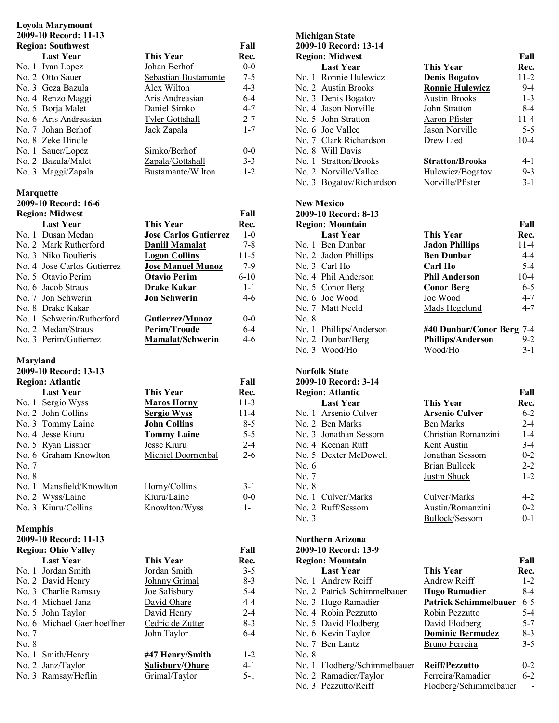# **Loyola Marymount**

|                  | 2009-10 Record: 11-13                   |                              |          |
|------------------|-----------------------------------------|------------------------------|----------|
|                  | <b>Region: Southwest</b>                |                              | Fall     |
|                  | <b>Last Year</b>                        | <b>This Year</b>             | Rec.     |
|                  | No. 1 Ivan Lopez                        | Johan Berhof                 | $0-0$    |
|                  | No. 2 Otto Sauer                        | Sebastian Bustamante         | $7 - 5$  |
|                  | No. 3 Geza Bazula                       | Alex Wilton                  | $4 - 3$  |
|                  | No. 4 Renzo Maggi                       | Aris Andreasian              | $6-4$    |
|                  | No. 5 Borja Malet                       | Daniel Simko                 | $4 - 7$  |
|                  | No. 6 Aris Andreasian                   | <b>Tyler Gottshall</b>       | $2 - 7$  |
|                  | No. 7 Johan Berhof                      | Jack Zapala                  | $1 - 7$  |
|                  | No. 8 Zeke Hindle                       |                              |          |
|                  | No. 1 Sauer/Lopez                       | Simko/Berhof                 | $0-0$    |
|                  | No. 2 Bazula/Malet                      | Zapala/Gottshall             | $3 - 3$  |
|                  | No. 3 Maggi/Zapala                      | Bustamante/Wilton            | $1 - 2$  |
|                  |                                         |                              |          |
| <b>Marquette</b> |                                         |                              |          |
|                  | 2009-10 Record: 16-6                    |                              |          |
|                  | <b>Region: Midwest</b>                  |                              | Fall     |
|                  | <b>Last Year</b>                        | <b>This Year</b>             | Rec.     |
|                  | No. 1 Dusan Medan                       | <b>Jose Carlos Gutierrez</b> | $1-0$    |
|                  | No. 2 Mark Rutherford                   | Daniil Mamalat               | $7 - 8$  |
|                  | No. 3 Niko Boulieris                    | <b>Logon Collins</b>         | $11-5$   |
|                  | No. 4 Jose Carlos Gutierrez             | <b>Jose Manuel Munoz</b>     | $7-9$    |
|                  | No. 5 Otavio Perim                      | <b>Otavio Perim</b>          | $6 - 10$ |
|                  | No. 6 Jacob Straus                      | <b>Drake Kakar</b>           | $1 - 1$  |
|                  | No. 7 Jon Schwerin                      | <b>Jon Schwerin</b>          | $4 - 6$  |
|                  | No. 8 Drake Kakar                       |                              |          |
|                  | No. 1 Schwerin/Rutherford               | Gutierrez/Munoz              | $0-0$    |
|                  | No. 2 Medan/Straus                      | <b>Perim/Troude</b>          | $6-4$    |
|                  | No. 3 Perim/Gutierrez                   |                              | $4 - 6$  |
|                  |                                         |                              |          |
|                  |                                         | <b>Mamalat/Schwerin</b>      |          |
| Maryland         |                                         |                              |          |
|                  | 2009-10 Record: 13-13                   |                              |          |
|                  | <b>Region: Atlantic</b>                 |                              | Fall     |
|                  | <b>Last Year</b>                        | This Year                    | Rec.     |
|                  |                                         |                              | $11-3$   |
|                  | No. 1 Sergio Wyss<br>No. 2 John Collins | <b>Maros Horny</b>           | $11 - 4$ |
|                  |                                         | <b>Sergio Wyss</b>           |          |
|                  | No. 3 Tommy Laine                       | <b>John Collins</b>          | $8 - 5$  |
|                  | No. 4 Jesse Kiuru                       | <b>Tommy Laine</b>           | $5 - 5$  |
|                  | No. 5 Ryan Lissner                      | Jesse Kiuru                  | $2 - 4$  |
|                  | No. 6 Graham Knowlton                   | Michiel Doornenbal           | $2-6$    |
| No. 7            |                                         |                              |          |
| No. 8            |                                         |                              |          |
|                  | No. 1 Mansfield/Knowlton                | Horny/Collins                | $3-1$    |
|                  | No. 2 Wyss/Laine                        | Kiuru/Laine                  | $0-0$    |
|                  | No. 3 Kiuru/Collins                     | Knowlton/Wyss                | $1 - 1$  |
| <b>Memphis</b>   |                                         |                              |          |
|                  | 2009-10 Record: 11-13                   |                              |          |
|                  | <b>Region: Ohio Valley</b>              |                              | Fall     |
|                  | <b>Last Year</b>                        | <b>This Year</b>             | Rec.     |
|                  | No. 1 Jordan Smith                      | Jordan Smith                 | $3 - 5$  |
|                  | No. 2 David Henry                       | Johnny Grimal                | $8 - 3$  |
|                  | No. 3 Charlie Ramsay                    | <u>Joe Salisbury</u>         | $5-4$    |
|                  | No. 4 Michael Janz                      | David Ohare                  | $4 - 4$  |
|                  |                                         |                              | $2 - 4$  |
|                  | No. 5 John Taylor                       | David Henry                  |          |
|                  | No. 6 Michael Gaerthoeffner             | Cedric de Zutter             | $8-3$    |
| No. 7            |                                         | John Taylor                  | $6-4$    |
| No. 8            | No. 1 Smith/Henry                       | #47 Henry/Smith              | $1 - 2$  |

No. 3 Ramsay/Heflin Grimal/Taylor 5-1

| <b>Michigan State</b>    |                        |          |  |  |
|--------------------------|------------------------|----------|--|--|
| 2009-10 Record: 13-14    |                        |          |  |  |
| <b>Region: Midwest</b>   |                        | Fall     |  |  |
| <b>Last Year</b>         | <b>This Year</b>       | Rec.     |  |  |
| No. 1 Ronnie Hulewicz    | <b>Denis Bogatov</b>   | $11 - 2$ |  |  |
| No. 2 Austin Brooks      | <b>Ronnie Hulewicz</b> | $9-4$    |  |  |
| No. 3 Denis Bogatov      | <b>Austin Brooks</b>   | $1 - 3$  |  |  |
| No. 4 Jason Norville     | John Stratton          | $8-4$    |  |  |
| No. 5 John Stratton      | Aaron Pfister          | $11 - 4$ |  |  |
| No. 6 Joe Vallee         | Jason Norville         | $5 - 5$  |  |  |
| No. 7 Clark Richardson   | Drew Lied              | $10 - 4$ |  |  |
| No. 8 Will Davis         |                        |          |  |  |
| No. 1 Stratton/Brooks    | <b>Stratton/Brooks</b> | $4 - 1$  |  |  |
| No. 2 Norville/Vallee    | Hulewicz/Bogatov       | $9 - 3$  |  |  |
| No. 3 Bogatov/Richardson | Norville/Pfister       | $3-1$    |  |  |
|                          |                        |          |  |  |

| <b>New Mexico</b>       |                                     |  |
|-------------------------|-------------------------------------|--|
| 2009-10 Record: 8-13    |                                     |  |
| <b>Region: Mountain</b> | Fall                                |  |
| <b>Last Year</b>        | This Year<br>Rec.                   |  |
| No. 1 Ben Dunbar        | $11 - 4$<br><b>Jadon Phillips</b>   |  |
| No. 2 Jadon Phillips    | $4 - 4$<br><b>Ben Dunbar</b>        |  |
| No. 3 Carl Ho           | $5-4$<br>Carl Ho                    |  |
| No. 4 Phil Anderson     | $10-4$<br><b>Phil Anderson</b>      |  |
| No. 5 Conor Berg        | $6 - 5$<br><b>Conor Berg</b>        |  |
| No. 6 Joe Wood          | $4 - 7$<br>Joe Wood                 |  |
| No. 7 Matt Neeld        | $4 - 7$<br>Mads Hegelund            |  |
| No. 8                   |                                     |  |
| No. 1 Phillips/Anderson | #40 Dunbar/Conor Berg 7-4           |  |
| No. 2 Dunbar/Berg       | $9 - 2$<br><b>Phillips/Anderson</b> |  |
| No. 3 Wood/Ho           | Wood/Ho<br>$3-1$                    |  |

| <b>Norfolk State</b> |                         |                       |         |
|----------------------|-------------------------|-----------------------|---------|
|                      | 2009-10 Record: 3-14    |                       |         |
|                      | <b>Region: Atlantic</b> |                       | Fall    |
|                      | <b>Last Year</b>        | <b>This Year</b>      | Rec.    |
|                      | No. 1 Arsenio Culver    | <b>Arsenio Culver</b> | $6-2$   |
|                      | No. 2 Ben Marks         | Ben Marks             | $2 - 4$ |
|                      | No. 3 Jonathan Sessom   | Christian Romanzini   | $1 - 4$ |
|                      | No. 4 Keenan Ruff       | Kent Austin           | $3-4$   |
|                      | No. 5 Dexter McDowell   | Jonathan Sessom       | $0 - 2$ |
| No. $6$              |                         | Brian Bullock         | $2 - 2$ |
| No. 7                |                         | Justin Shuck          | $1 - 2$ |
| No. 8                |                         |                       |         |
|                      | No. 1 Culver/Marks      | Culver/Marks          | $4 - 2$ |
|                      | No. 2 Ruff/Sessom       | Austin/Romanzini      | $0 - 2$ |
| No. 3                |                         | Bullock/Sessom        | $0 - 1$ |

| <b>Northern Arizona</b><br>2009-10 Record: 13-9 |                              |                              |         |
|-------------------------------------------------|------------------------------|------------------------------|---------|
|                                                 | <b>Region: Mountain</b>      |                              | Fall    |
|                                                 | <b>Last Year</b>             | <b>This Year</b>             | Rec.    |
|                                                 | No. 1 Andrew Reiff           | Andrew Reiff                 | $1 - 2$ |
|                                                 | No. 2 Patrick Schimmelbauer  | Hugo Ramadier                | 8-4     |
|                                                 | No. 3 Hugo Ramadier          | <b>Patrick Schimmelbauer</b> | $6 - 5$ |
|                                                 | No. 4 Robin Pezzutto         | Robin Pezzutto               | $5-4$   |
|                                                 | No. 5 David Flodberg         | David Flodberg               | $5 - 7$ |
|                                                 | No. 6 Kevin Taylor           | <b>Dominic Bermudez</b>      | $8-3$   |
|                                                 | No. 7 Ben Lantz              | Bruno Ferreira               | $3 - 5$ |
| No. 8                                           |                              |                              |         |
|                                                 | No. 1 Flodberg/Schimmelbauer | <b>Reiff/Pezzutto</b>        | $0 - 2$ |
|                                                 | No. 2 Ramadier/Taylor        | Ferreira/Ramadier            | $6 - 2$ |
|                                                 | No. 3 Pezzutto/Reiff         | Flodberg/Schimmelbauer       |         |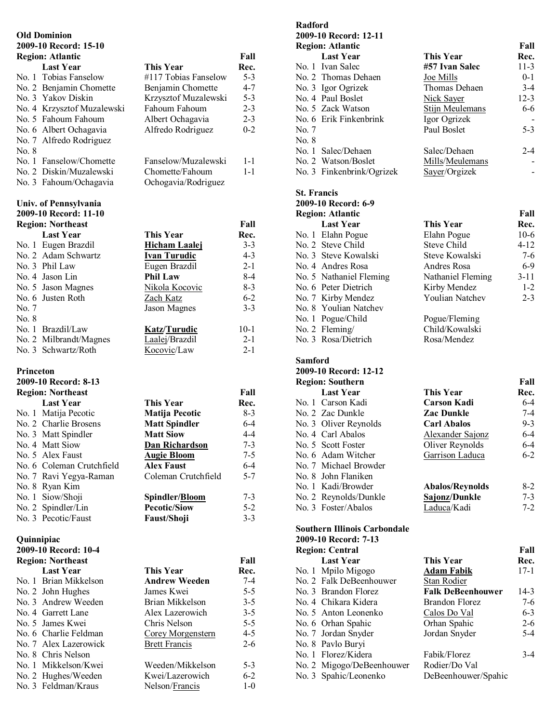#### **Old Dominion 2009-10 Record: 15-10**

|       | <b>Region: Atlantic</b>                        |                      | Fall    |
|-------|------------------------------------------------|----------------------|---------|
|       | <b>Last Year</b>                               | This Year            | Rec.    |
|       | No. 1 Tobias Fanselow                          | #117 Tobias Fanselow | $5-3$   |
|       | No. 2 Benjamin Chomette                        | Benjamin Chomette    | $4 - 7$ |
|       | No. 3 Yakov Diskin                             | Krzysztof Muzalewski | $5 - 3$ |
|       | No. 4 Krzysztof Muzalewski                     | Fahoum Fahoum        | $2 - 3$ |
|       | No. 5 Fahoum Fahoum                            | Albert Ochagavia     | $2 - 3$ |
|       | No. 6 Albert Ochagavia                         | Alfredo Rodriguez    | $0 - 2$ |
|       | No. 7 Alfredo Rodriguez                        |                      |         |
| No. 8 |                                                |                      |         |
|       | No. 1 Fanselow/Chomette                        | Fanselow/Muzalewski  | $1 - 1$ |
|       | No. 2 Diskin/Muzalewski                        | Chomette/Fahoum      | $1 - 1$ |
|       | No. 3 Fahoum/Ochagavia                         | Ochogavia/Rodriguez  |         |
|       | Univ. of Pennsylvania<br>2009-10 Record: 11-10 |                      |         |
|       | <b>Region: Northeast</b>                       |                      | Fall    |
|       | <b>Last Year</b>                               | This Year            | Rec.    |
|       | No. 1 Eugen Brazdil                            | Hicham Laalej        | $3 - 3$ |
|       | No. 2 Adam Schwartz                            | <b>Ivan Turudic</b>  | $4 - 3$ |
|       | No. 3 Phil Law                                 | Eugen Brazdil        | $2 - 1$ |
|       | No. 4 Jason Lin                                | <b>Phil Law</b>      | $8 - 4$ |
|       | No. 5 Jason Magnes                             | Nikola Kocovic       | $8 - 3$ |
|       | No. 6 Justen Roth                              | Zach Katz            | $6 - 2$ |
| No. 7 |                                                | Jason Magnes         | $3 - 3$ |
| No. 8 |                                                |                      |         |
|       | No. 1 Brazdil/Law                              | <b>Katz/Turudic</b>  | $10-1$  |
|       | No. 2 Milbrandt/Magnes                         | Laalej/Brazdil       | $2 - 1$ |
|       | No. 3 Schwartz/Roth                            | Kocovic/Law          | $2 - 1$ |
|       |                                                |                      |         |

#### **Princeton 2009-10 Record: 8-13**

| <b>Region: Northeast</b> |                           |                      | Fall    |
|--------------------------|---------------------------|----------------------|---------|
|                          | <b>Last Year</b>          | This Year            | Rec.    |
|                          | No. 1 Matija Pecotic      | Matija Pecotic       | $8-3$   |
|                          | No. 2 Charlie Brosens     | <b>Matt Spindler</b> | $6 - 4$ |
|                          | No. 3 Matt Spindler       | <b>Matt Siow</b>     | $4 - 4$ |
|                          | No. 4 Matt Siow           | Dan Richardson       | $7 - 3$ |
|                          | No. 5 Alex Faust          | <b>Augie Bloom</b>   | $7 - 5$ |
|                          | No. 6 Coleman Crutchfield | <b>Alex Faust</b>    | $6-4$   |
|                          | No. 7 Ravi Yegya-Raman    | Coleman Crutchfield  | $5 - 7$ |
|                          | No. 8 Ryan Kim            |                      |         |
|                          | No. 1 Siow/Shoji          | Spindler/Bloom       | $7 - 3$ |
|                          | No. 2 Spindler/Lin        | <b>Pecotic/Siow</b>  | $5 - 2$ |
|                          | No. 3 Pecotic/Faust       | <b>Faust/Shoji</b>   | $3-3$   |

#### **Quinnipiac**

| 2009-10 Record: 10-4     |                      |         |
|--------------------------|----------------------|---------|
| <b>Region: Northeast</b> |                      | Fall    |
| <b>Last Year</b>         | This Year            | Rec.    |
| No. 1 Brian Mikkelson    | <b>Andrew Weeden</b> | $7-4$   |
| No. 2 John Hughes        | James Kwei           | $5 - 5$ |
| No. 3 Andrew Weeden      | Brian Mikkelson      | $3 - 5$ |
| No. 4 Garrett Lane       | Alex Lazerowich      | $3 - 5$ |
| No. 5 James Kwei         | Chris Nelson         | $5 - 5$ |
| No. 6 Charlie Feldman    | Corey Morgenstern    | $4-5$   |
| No. 7 Alex Lazerowick    | <b>Brett Francis</b> | $2-6$   |
| No. 8 Chris Nelson       |                      |         |
| No. 1 Mikkelson/Kwei     | Weeden/Mikkelson     | 5-3     |
| No. 2 Hughes/Weeden      | Kwei/Lazerowich      | $6 - 2$ |
| No. 3 Feldman/Kraus      | Nelson/Francis       | $1-0$   |

# **Radford 2009-10 Record: 12-11 Region: Atlantic Fall Last Year This Year Rec.**<br>No. 1 Ivan Salec **#57 Ivan Salec** 11-3 No. 1 Ivan Salec **#57 Ivan Salec** 11-3 No. 2 Thomas Dehaen Joe Mills 0-1<br>No. 3 Igor Ogrizek Thomas Dehaen 3-4 No. 3 Igor Ogrizek Thomas Del<br>No. 4 Paul Boslet Nick Sayer No. 4 Paul Boslet Nick Sayer 12-3 No. 5 Zack Watson Stijn Meulemans 6-6 No. 6 Erik Finkenbrink Igor Ogrizek - No. 7 Paul Boslet 5-3 No. 8 No. 1 Salec/Dehaen Salec/Dehaen 2-4 No. 2 Watson/Boslet Mills/Meulemans -No. 3 Finkenbrink/Ogrizek Sayer/Orgizek - **St. Francis 2009-10 Record: 6-9 Region: Atlantic Fall**

| <b>Last Year</b>        | <b>This Year</b>  | Rec.     |
|-------------------------|-------------------|----------|
| No. 1 Elahn Pogue       | Elahn Pogue       | $10-6$   |
| No. 2 Steve Child       | Steve Child       | $4 - 12$ |
| No. 3 Steve Kowalski    | Steve Kowalski    | 7-6      |
| No. 4 Andres Rosa       | Andres Rosa       | $6-9$    |
| No. 5 Nathaniel Fleming | Nathaniel Fleming | $3-11$   |
| No. 6 Peter Dietrich    | Kirby Mendez      | $1-2$    |
| No. 7 Kirby Mendez      | Youlian Natchev   | $2 - 3$  |
| No. 8 Youlian Natchev   |                   |          |
| No. 1 Pogue/Child       | Pogue/Fleming     |          |
| No. 2 Fleming/          | Child/Kowalski    |          |
| No. 3 Rosa/Dietrich     | Rosa/Mendez       |          |
|                         |                   |          |

#### **Samford**

| 2009-10 Record: 12-12   |                        |         |
|-------------------------|------------------------|---------|
| <b>Region: Southern</b> |                        | Fall    |
| <b>Last Year</b>        | <b>This Year</b>       | Rec.    |
| No. 1 Carson Kadi       | <b>Carson Kadi</b>     | $6-4$   |
| No. 2 Zac Dunkle        | <b>Zac Dunkle</b>      | $7-4$   |
| No. 3 Oliver Reynolds   | <b>Carl Abalos</b>     | $9 - 3$ |
| No. 4 Carl Abalos       | Alexander Sajonz       | $6-4$   |
| No. 5 Scott Foster      | Oliver Reynolds        | $6-4$   |
| No. 6 Adam Witcher      | Garrison Laduca        | $6 - 2$ |
| No. 7 Michael Browder   |                        |         |
| No. 8 John Flaniken     |                        |         |
| No. 1 Kadi/Browder      | <b>Abalos/Reynolds</b> | $8-2$   |
| No. 2 Reynolds/Dunkle   | Sajonz/Dunkle          | $7 - 3$ |
| No. 3 Foster/Abalos     | Laduca/Kadi            | $7-2$   |

#### **Southern Illinois Carbondale 2009-10 Record: 7-13**

| <b>Region: Central</b> |                           |                          | Fall    |
|------------------------|---------------------------|--------------------------|---------|
|                        | <b>Last Year</b>          | This Year                | Rec.    |
|                        | No. 1 Mpilo Migogo        | Adam Fabik               | $17-1$  |
|                        | No. 2 Falk DeBeenhouwer   | Stan Rodier              |         |
|                        | No. 3 Brandon Florez      | <b>Falk DeBeenhouwer</b> | $14-3$  |
|                        | No. 4 Chikara Kidera      | Brandon Florez           | $7-6$   |
|                        | No. 5 Anton Leonenko      | Calos Do Val             | $6 - 3$ |
|                        | No. 6 Orhan Spahic        | Orhan Spahic             | $2 - 6$ |
|                        | No. 7 Jordan Snyder       | Jordan Snyder            | $5-4$   |
|                        | No. 8 Pavlo Buryi         |                          |         |
|                        | No. 1 Florez/Kidera       | Fabik/Florez             | $3-4$   |
|                        | No. 2 Migogo/DeBeenhouwer | Rodier/Do Val            |         |
|                        | No. 3 Spahic/Leonenko     | DeBeenhouwer/Spahic      |         |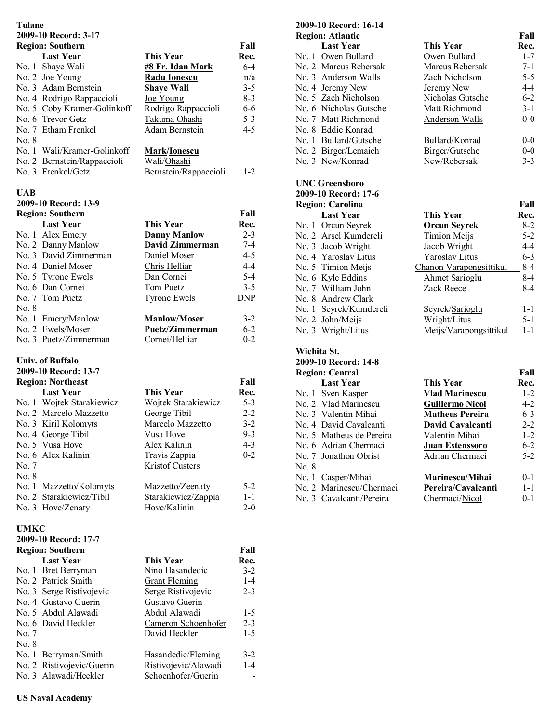# **Tulane**

# **2009-10 Record: 3-17**

| 2007-10 INGGULU. 3          |                         |            |
|-----------------------------|-------------------------|------------|
| <b>Region: Southern</b>     |                         | Fall       |
| <b>Last Year</b>            | This Year               | Rec.       |
| No. 1 Shaye Wali            | <b>#8 Fr. Idan Mark</b> | $6 - 4$    |
| No. 2 Joe Young             | <b>Radu Ionescu</b>     | n/a        |
| No. 3 Adam Bernstein        | <b>Shaye Wali</b>       | $3 - 5$    |
| No. 4 Rodrigo Rappaccioli   | Joe Young               | $8 - 3$    |
| No. 5 Coby Kramer-Golinkoff | Rodrigo Rappaccioli     | $6-6$      |
| No. 6 Trevor Getz           | Takuma Ohashi           | $5 - 3$    |
| No. 7 Etham Frenkel         | Adam Bernstein          | $4 - 5$    |
| No. 8                       |                         |            |
| No. 1 Wali/Kramer-Golinkoff | <b>Mark/Ionescu</b>     |            |
| No. 2 Bernstein/Rappaccioli | Wali/Ohashi             |            |
| No. 3 Frenkel/Getz          | Bernstein/Rappaccioli   | $1-2$      |
| <b>UAB</b>                  |                         |            |
| 2009-10 Record: 13-9        |                         |            |
| <b>Region: Southern</b>     |                         | Fall       |
| <b>Last Year</b>            | <b>This Year</b>        | Rec.       |
| No. 1 Alex Emery            | <b>Danny Manlow</b>     | $2 - 3$    |
| No. 2 Danny Manlow          | <b>David Zimmerman</b>  | $7 - 4$    |
| No. 3 David Zimmerman       | Daniel Moser            | $4 - 5$    |
| No. 4 Daniel Moser          | Chris Helliar           | $4 - 4$    |
| No. 5 Tyrone Ewels          | Dan Cornei              | $5 - 4$    |
| No. 6 Dan Cornei            | Tom Puetz               | $3 - 5$    |
| No. 7 Tom Puetz             | <b>Tyrone Ewels</b>     | <b>DNP</b> |
| No. 8                       |                         |            |
| No. 1 Emery/Manlow          | <b>Manlow/Moser</b>     | $3 - 2$    |
| No. 2 Ewels/Moser           | Puetz/Zimmerman         | $6 - 2$    |
| No. 3 Puetz/Zimmerman       | Cornei/Helliar          | $0 - 2$    |
|                             |                         |            |
| <b>Univ. of Buffalo</b>     |                         |            |
| 2009-10 Record: 13-7        |                         |            |
| <b>Region: Northeast</b>    |                         | Fall       |
| <b>Last Year</b>            | <b>This Year</b>        | Rec.       |
| No. 1 Wojtek Starakiewicz   | Wojtek Starakiewicz     | $5 - 3$    |
| No. 2 Marcelo Mazzetto      | George Tibil            | $2 - 2$    |
| No. 3 Kiril Kolomyts        | Marcelo Mazzetto        | $3 - 2$    |
| No. 4 George Tibil          | Vusa Hove               | $9 - 3$    |
| No. 5 Vusa Hove             | Alex Kalinin            | $4 - 3$    |
| No. 6 Alex Kalinin          | Travis Zappia           | $0 - 2$    |

No. 7 Kristof Custers No. 8 No. 1 Mazzetto/Kolomyts Mazzetto/Zeenaty 5-2 No. 2 Starakiewicz/Tibil Starakiewicz/Zappia 1-1 No. 3 Hove/Zenaty

## **UMKC**

| 2009-10 Record: 17-7    |                           |                      |         |
|-------------------------|---------------------------|----------------------|---------|
| <b>Region: Southern</b> |                           |                      | Fall    |
|                         | <b>Last Year</b>          | This Year            | Rec.    |
|                         | No. 1 Bret Berryman       | Nino Hasandedic      | $3-2$   |
|                         | No. 2 Patrick Smith       | <b>Grant Fleming</b> | $1 - 4$ |
|                         | No. 3 Serge Ristivojevic  | Serge Ristivojevic   | $2 - 3$ |
|                         | No. 4 Gustavo Guerin      | Gustavo Guerin       |         |
|                         | No. 5 Abdul Alawadi       | Abdul Alawadi        | $1-5$   |
|                         | No. 6 David Heckler       | Cameron Schoenhofer  | $2 - 3$ |
| No. 7                   |                           | David Heckler        | $1-5$   |
| No. 8                   |                           |                      |         |
|                         | No. 1 Berryman/Smith      | Hasandedic/Fleming   | $3 - 2$ |
|                         | No. 2 Ristivojevic/Guerin | Ristivojevic/Alawadi | $1 - 4$ |
|                         | No. 3 Alawadi/Heckler     | Schoenhofer/Guerin   |         |

# **2009-10 Record: 16-14**

| <b>Region: Atlantic</b> |                        |                  | Fall    |
|-------------------------|------------------------|------------------|---------|
|                         | <b>Last Year</b>       | <b>This Year</b> | Rec.    |
|                         | No. 1 Owen Bullard     | Owen Bullard     | $1 - 7$ |
|                         | No. 2 Marcus Rebersak  | Marcus Rebersak  | $7 - 1$ |
|                         | No. 3 Anderson Walls   | Zach Nicholson   | $5-5$   |
|                         | No. 4 Jeremy New       | Jeremy New       | $4 - 4$ |
|                         | No. 5 Zach Nicholson   | Nicholas Gutsche | $6 - 2$ |
|                         | No. 6 Nicholas Gutsche | Matt Richmond    | $3 - 1$ |
|                         | No. 7 Matt Richmond    | Anderson Walls   | $0 - 0$ |
|                         | No. 8 Eddie Konrad     |                  |         |
|                         | No. 1 Bullard/Gutsche  | Bullard/Konrad   | $0-0$   |
|                         | No. 2 Birger/Lemaich   | Birger/Gutsche   | $0-0$   |
|                         | No. 3 New/Konrad       | New/Rebersak     | $3 - 3$ |

## **UNC Greensboro 2009-10 Record: 17-6**

| <b>Region: Carolina</b> |                        |                         | Fall    |
|-------------------------|------------------------|-------------------------|---------|
|                         | <b>Last Year</b>       | This Year               | Rec.    |
|                         | No. 1 Orcun Seyrek     | <b>Orcun Seyrek</b>     | $8-2$   |
|                         | No. 2 Arsel Kumdereli  | Timion Meijs            | $5 - 2$ |
|                         | No. 3 Jacob Wright     | Jacob Wright            | $4 - 4$ |
|                         | No. 4 Yaroslav Litus   | Yaroslav Litus          | $6 - 3$ |
|                         | No. 5 Timion Meijs     | Chanon Varapongsittikul | 8-4     |
|                         | No. 6 Kyle Eddins      | Ahmet Sarioglu          | 8-4     |
|                         | No. 7 William John     | Zack Reece              | 8-4     |
|                         | No. 8 Andrew Clark     |                         |         |
|                         | No. 1 Seyrek/Kumdereli | Seyrek/Sarioglu         | $1 - 1$ |
|                         | No. 2 John/Meijs       | Wright/Litus            | $5 - 1$ |
|                         | No. 3 Wright/Litus     | Meijs/Varapongsittikul  | $1 - 1$ |

## **Wichita St.**

|       | 2009-10 Record: 14-8     |                        |         |
|-------|--------------------------|------------------------|---------|
|       | <b>Region: Central</b>   |                        | Fall    |
|       | <b>Last Year</b>         | <b>This Year</b>       | Rec.    |
|       | No. 1 Sven Kasper        | <b>Vlad Marinescu</b>  | $1-2$   |
|       | No. 2 Vlad Marinescu     | <b>Guillermo Nicol</b> | $4 - 2$ |
|       | No. 3 Valentin Mihai     | <b>Matheus Pereira</b> | $6 - 3$ |
|       | No. 4 David Cavalcanti   | David Cavalcanti       | $2 - 2$ |
|       | No. 5 Matheus de Pereira | Valentin Mihai         | $1-2$   |
|       | No. 6 Adrian Chermaci    | <b>Juan Estenssoro</b> | $6 - 2$ |
|       | No. 7 Jonathon Obrist    | Adrian Chermaci        | $5-2$   |
| No. 8 |                          |                        |         |
|       | No. 1 Casper/Mihai       | <b>Marinescu/Mihai</b> | $0 - 1$ |
|       | No. 2 Marinescu/Chermaci | Pereira/Cavalcanti     | $1 - 1$ |
|       | No. 3 Cavalcanti/Pereira | Chermaci/Nicol         | $0 - 1$ |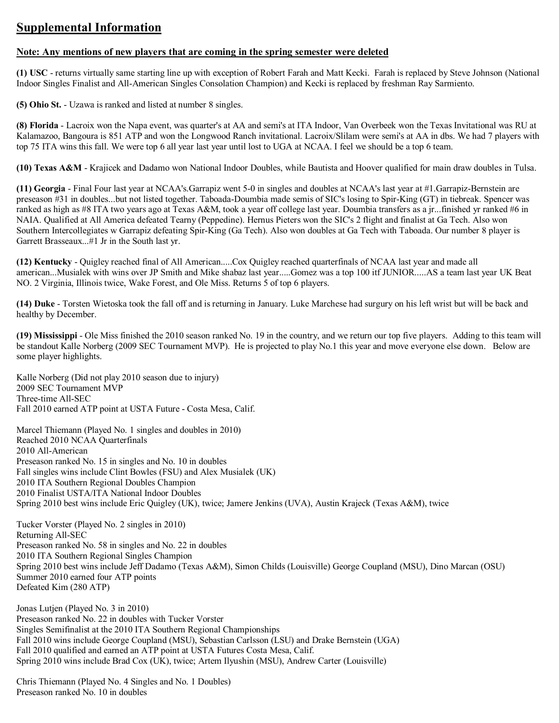# **Supplemental Information**

## **Note: Any mentions of new players that are coming in the spring semester were deleted**

**(1) USC** - returns virtually same starting line up with exception of Robert Farah and Matt Kecki. Farah is replaced by Steve Johnson (National Indoor Singles Finalist and All-American Singles Consolation Champion) and Kecki is replaced by freshman Ray Sarmiento.

**(5) Ohio St.** - Uzawa is ranked and listed at number 8 singles.

**(8) Florida** - Lacroix won the Napa event, was quarter's at AA and semi's at ITA Indoor, Van Overbeek won the Texas Invitational was RU at Kalamazoo, Bangoura is 851 ATP and won the Longwood Ranch invitational. Lacroix/Slilam were semi's at AA in dbs. We had 7 players with top 75 ITA wins this fall. We were top 6 all year last year until lost to UGA at NCAA. I feel we should be a top 6 team.

**(10) Texas A&M** - Krajicek and Dadamo won National Indoor Doubles, while Bautista and Hoover qualified for main draw doubles in Tulsa.

**(11) Georgia** - Final Four last year at NCAA's.Garrapiz went 5-0 in singles and doubles at NCAA's last year at #1.Garrapiz-Bernstein are preseason #31 in doubles...but not listed together. Taboada-Doumbia made semis of SIC's losing to Spir-King (GT) in tiebreak. Spencer was ranked as high as #8 ITA two years ago at Texas A&M, took a year off college last year. Doumbia transfers as a jr...finished yr ranked #6 in NAIA. Qualified at All America defeated Tearny (Peppedine). Hernus Pieters won the SIC's 2 flight and finalist at Ga Tech. Also won Southern Intercollegiates w Garrapiz defeating Spir-King (Ga Tech). Also won doubles at Ga Tech with Taboada. Our number 8 player is Garrett Brasseaux...#1 Jr in the South last yr.

**(12) Kentucky** - Quigley reached final of All American.....Cox Quigley reached quarterfinals of NCAA last year and made all american...Musialek with wins over JP Smith and Mike shabaz last year.....Gomez was a top 100 itf JUNIOR.....AS a team last year UK Beat NO. 2 Virginia, Illinois twice, Wake Forest, and Ole Miss. Returns 5 of top 6 players.

**(14) Duke** - Torsten Wietoska took the fall off and is returning in January. Luke Marchese had surgury on his left wrist but will be back and healthy by December.

**(19) Mississippi** - Ole Miss finished the 2010 season ranked No. 19 in the country, and we return our top five players. Adding to this team will be standout Kalle Norberg (2009 SEC Tournament MVP). He is projected to play No.1 this year and move everyone else down. Below are some player highlights.

Kalle Norberg (Did not play 2010 season due to injury) 2009 SEC Tournament MVP Three-time All-SEC Fall 2010 earned ATP point at USTA Future - Costa Mesa, Calif.

Marcel Thiemann (Played No. 1 singles and doubles in 2010) Reached 2010 NCAA Quarterfinals 2010 All-American Preseason ranked No. 15 in singles and No. 10 in doubles Fall singles wins include Clint Bowles (FSU) and Alex Musialek (UK) 2010 ITA Southern Regional Doubles Champion 2010 Finalist USTA/ITA National Indoor Doubles Spring 2010 best wins include Eric Quigley (UK), twice; Jamere Jenkins (UVA), Austin Krajeck (Texas A&M), twice

Tucker Vorster (Played No. 2 singles in 2010) Returning All-SEC Preseason ranked No. 58 in singles and No. 22 in doubles 2010 ITA Southern Regional Singles Champion Spring 2010 best wins include Jeff Dadamo (Texas A&M), Simon Childs (Louisville) George Coupland (MSU), Dino Marcan (OSU) Summer 2010 earned four ATP points Defeated Kim (280 ATP)

Jonas Lutjen (Played No. 3 in 2010) Preseason ranked No. 22 in doubles with Tucker Vorster Singles Semifinalist at the 2010 ITA Southern Regional Championships Fall 2010 wins include George Coupland (MSU), Sebastian Carlsson (LSU) and Drake Bernstein (UGA) Fall 2010 qualified and earned an ATP point at USTA Futures Costa Mesa, Calif. Spring 2010 wins include Brad Cox (UK), twice; Artem Ilyushin (MSU), Andrew Carter (Louisville)

Chris Thiemann (Played No. 4 Singles and No. 1 Doubles) Preseason ranked No. 10 in doubles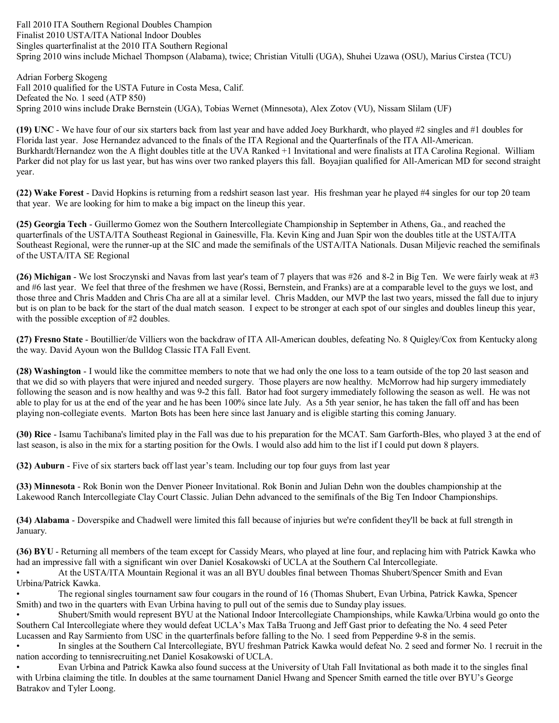Fall 2010 ITA Southern Regional Doubles Champion Finalist 2010 USTA/ITA National Indoor Doubles Singles quarterfinalist at the 2010 ITA Southern Regional Spring 2010 wins include Michael Thompson (Alabama), twice; Christian Vitulli (UGA), Shuhei Uzawa (OSU), Marius Cirstea (TCU)

Adrian Forberg Skogeng Fall 2010 qualified for the USTA Future in Costa Mesa, Calif. Defeated the No. 1 seed (ATP 850) Spring 2010 wins include Drake Bernstein (UGA), Tobias Wernet (Minnesota), Alex Zotov (VU), Nissam Slilam (UF)

**(19) UNC** - We have four of our six starters back from last year and have added Joey Burkhardt, who played #2 singles and #1 doubles for Florida last year. Jose Hernandez advanced to the finals of the ITA Regional and the Quarterfinals of the ITA All-American. Burkhardt/Hernandez won the A flight doubles title at the UVA Ranked +1 Invitational and were finalists at ITA Carolina Regional. William Parker did not play for us last year, but has wins over two ranked players this fall. Boyajian qualified for All-American MD for second straight year.

**(22) Wake Forest** - David Hopkins is returning from a redshirt season last year. His freshman year he played #4 singles for our top 20 team that year. We are looking for him to make a big impact on the lineup this year.

**(25) Georgia Tech** - Guillermo Gomez won the Southern Intercollegiate Championship in September in Athens, Ga., and reached the quarterfinals of the USTA/ITA Southeast Regional in Gainesville, Fla. Kevin King and Juan Spir won the doubles title at the USTA/ITA Southeast Regional, were the runner-up at the SIC and made the semifinals of the USTA/ITA Nationals. Dusan Miljevic reached the semifinals of the USTA/ITA SE Regional

**(26) Michigan** - We lost Sroczynski and Navas from last year's team of 7 players that was #26 and 8-2 in Big Ten. We were fairly weak at #3 and #6 last year. We feel that three of the freshmen we have (Rossi, Bernstein, and Franks) are at a comparable level to the guys we lost, and those three and Chris Madden and Chris Cha are all at a similar level. Chris Madden, our MVP the last two years, missed the fall due to injury but is on plan to be back for the start of the dual match season. I expect to be stronger at each spot of our singles and doubles lineup this year, with the possible exception of #2 doubles.

**(27) Fresno State** - Boutillier/de Villiers won the backdraw of ITA All-American doubles, defeating No. 8 Quigley/Cox from Kentucky along the way. David Ayoun won the Bulldog Classic ITA Fall Event.

**(28) Washington** - I would like the committee members to note that we had only the one loss to a team outside of the top 20 last season and that we did so with players that were injured and needed surgery. Those players are now healthy. McMorrow had hip surgery immediately following the season and is now healthy and was 9-2 this fall. Bator had foot surgery immediately following the season as well. He was not able to play for us at the end of the year and he has been 100% since late July. As a 5th year senior, he has taken the fall off and has been playing non-collegiate events. Marton Bots has been here since last January and is eligible starting this coming January.

**(30) Rice** - Isamu Tachibana's limited play in the Fall was due to his preparation for the MCAT. Sam Garforth-Bles, who played 3 at the end of last season, is also in the mix for a starting position for the Owls. I would also add him to the list if I could put down 8 players.

**(32) Auburn** - Five of six starters back off last year's team. Including our top four guys from last year

**(33) Minnesota** - Rok Bonin won the Denver Pioneer Invitational. Rok Bonin and Julian Dehn won the doubles championship at the Lakewood Ranch Intercollegiate Clay Court Classic. Julian Dehn advanced to the semifinals of the Big Ten Indoor Championships.

**(34) Alabama** - Doverspike and Chadwell were limited this fall because of injuries but we're confident they'll be back at full strength in January.

**(36) BYU** - Returning all members of the team except for Cassidy Mears, who played at line four, and replacing him with Patrick Kawka who had an impressive fall with a significant win over Daniel Kosakowski of UCLA at the Southern Cal Intercollegiate.

• At the USTA/ITA Mountain Regional it was an all BYU doubles final between Thomas Shubert/Spencer Smith and Evan Urbina/Patrick Kawka.

• The regional singles tournament saw four cougars in the round of 16 (Thomas Shubert, Evan Urbina, Patrick Kawka, Spencer Smith) and two in the quarters with Evan Urbina having to pull out of the semis due to Sunday play issues.

• Shubert/Smith would represent BYU at the National Indoor Intercollegiate Championships, while Kawka/Urbina would go onto the Southern Cal Intercollegiate where they would defeat UCLA's Max TaBa Truong and Jeff Gast prior to defeating the No. 4 seed Peter Lucassen and Ray Sarmiento from USC in the quarterfinals before falling to the No. 1 seed from Pepperdine 9-8 in the semis.

In singles at the Southern Cal Intercollegiate, BYU freshman Patrick Kawka would defeat No. 2 seed and former No. 1 recruit in the nation according to tennisrecruiting.net Daniel Kosakowski of UCLA.

• Evan Urbina and Patrick Kawka also found success at the University of Utah Fall Invitational as both made it to the singles final with Urbina claiming the title. In doubles at the same tournament Daniel Hwang and Spencer Smith earned the title over BYU's George Batrakov and Tyler Loong.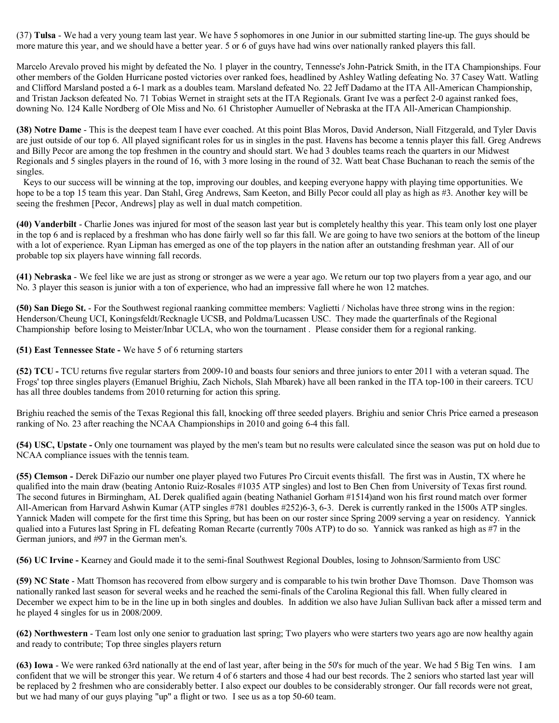(37) **Tulsa** - We had a very young team last year. We have 5 sophomores in one Junior in our submitted starting line-up. The guys should be more mature this year, and we should have a better year. 5 or 6 of guys have had wins over nationally ranked players this fall.

Marcelo Arevalo proved his might by defeated the No. 1 player in the country, Tennesse's John-Patrick Smith, in the ITA Championships. Four other members of the Golden Hurricane posted victories over ranked foes, headlined by Ashley Watling defeating No. 37 Casey Watt. Watling and Clifford Marsland posted a 6-1 mark as a doubles team. Marsland defeated No. 22 Jeff Dadamo at the ITA All-American Championship, and Tristan Jackson defeated No. 71 Tobias Wernet in straight sets at the ITA Regionals. Grant Ive was a perfect 2-0 against ranked foes, downing No. 124 Kalle Nordberg of Ole Miss and No. 61 Christopher Aumueller of Nebraska at the ITA All-American Championship.

**(38) Notre Dame** - This is the deepest team I have ever coached. At this point Blas Moros, David Anderson, Niall Fitzgerald, and Tyler Davis are just outside of our top 6. All played significant roles for us in singles in the past. Havens has become a tennis player this fall. Greg Andrews and Billy Pecor are among the top freshmen in the country and should start. We had 3 doubles teams reach the quarters in our Midwest Regionals and 5 singles players in the round of 16, with 3 more losing in the round of 32. Watt beat Chase Buchanan to reach the semis of the singles.

Keys to our success will be winning at the top, improving our doubles, and keeping everyone happy with playing time opportunities. We hope to be a top 15 team this year. Dan Stahl, Greg Andrews, Sam Keeton, and Billy Pecor could all play as high as #3. Another key will be seeing the freshmen [Pecor, Andrews] play as well in dual match competition.

**(40) Vanderbilt** - Charlie Jones was injured for most of the season last year but is completely healthy this year. This team only lost one player in the top 6 and is replaced by a freshman who has done fairly well so far this fall. We are going to have two seniors at the bottom of the lineup with a lot of experience. Ryan Lipman has emerged as one of the top players in the nation after an outstanding freshman year. All of our probable top six players have winning fall records.

**(41) Nebraska** - We feel like we are just as strong or stronger as we were a year ago. We return our top two players from a year ago, and our No. 3 player this season is junior with a ton of experience, who had an impressive fall where he won 12 matches.

**(50) San Diego St.** - For the Southwest regional raanking committee members: Vaglietti / Nicholas have three strong wins in the region: Henderson/Cheung UCI, Koningsfeldt/Recknagle UCSB, and Poldma/Lucassen USC. They made the quarterfinals of the Regional Championship before losing to Meister/Inbar UCLA, who won the tournament . Please consider them for a regional ranking.

**(51) East Tennessee State -** We have 5 of 6 returning starters

**(52) TCU -** TCU returns five regular starters from 2009-10 and boasts four seniors and three juniors to enter 2011 with a veteran squad. The Frogs' top three singles players (Emanuel Brighiu, Zach Nichols, Slah Mbarek) have all been ranked in the ITA top-100 in their careers. TCU has all three doubles tandems from 2010 returning for action this spring.

Brighiu reached the semis of the Texas Regional this fall, knocking off three seeded players. Brighiu and senior Chris Price earned a preseason ranking of No. 23 after reaching the NCAA Championships in 2010 and going 6-4 this fall.

**(54) USC, Upstate -** Only one tournament was played by the men's team but no results were calculated since the season was put on hold due to NCAA compliance issues with the tennis team.

**(55) Clemson -** Derek DiFazio our number one player played two Futures Pro Circuit events thisfall. The first was in Austin, TX where he qualified into the main draw (beating Antonio Ruiz-Rosales #1035 ATP singles) and lost to Ben Chen from University of Texas first round. The second futures in Birmingham, AL Derek qualified again (beating Nathaniel Gorham #1514)and won his first round match over former All-American from Harvard Ashwin Kumar (ATP singles #781 doubles #252)6-3, 6-3. Derek is currently ranked in the 1500s ATP singles. Yannick Maden will compete for the first time this Spring, but has been on our roster since Spring 2009 serving a year on residency. Yannick qualied into a Futures last Spring in FL defeating Roman Recarte (currently 700s ATP) to do so. Yannick was ranked as high as #7 in the German juniors, and #97 in the German men's.

**(56) UC Irvine -** Kearney and Gould made it to the semi-final Southwest Regional Doubles, losing to Johnson/Sarmiento from USC

**(59) NC State** - Matt Thomson has recovered from elbow surgery and is comparable to his twin brother Dave Thomson. Dave Thomson was nationally ranked last season for several weeks and he reached the semi-finals of the Carolina Regional this fall. When fully cleared in December we expect him to be in the line up in both singles and doubles. In addition we also have Julian Sullivan back after a missed term and he played 4 singles for us in 2008/2009.

**(62) Northwestern** - Team lost only one senior to graduation last spring; Two players who were starters two years ago are now healthy again and ready to contribute; Top three singles players return

**(63) Iowa** - We were ranked 63rd nationally at the end of last year, after being in the 50's for much of the year. We had 5 Big Ten wins. I am confident that we will be stronger this year. We return 4 of 6 starters and those 4 had our best records. The 2 seniors who started last year will be replaced by 2 freshmen who are considerably better. I also expect our doubles to be considerably stronger. Our fall records were not great, but we had many of our guys playing "up" a flight or two. I see us as a top 50-60 team.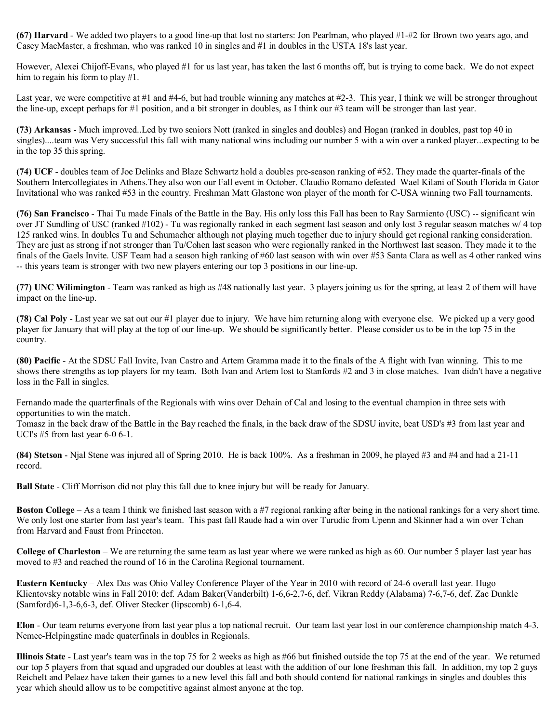**(67) Harvard** - We added two players to a good line-up that lost no starters: Jon Pearlman, who played #1-#2 for Brown two years ago, and Casey MacMaster, a freshman, who was ranked 10 in singles and #1 in doubles in the USTA 18's last year.

However, Alexei Chijoff-Evans, who played #1 for us last year, has taken the last 6 months off, but is trying to come back. We do not expect him to regain his form to play #1.

Last year, we were competitive at #1 and #4-6, but had trouble winning any matches at #2-3. This year, I think we will be stronger throughout the line-up, except perhaps for #1 position, and a bit stronger in doubles, as I think our #3 team will be stronger than last year.

**(73) Arkansas** - Much improved..Led by two seniors Nott (ranked in singles and doubles) and Hogan (ranked in doubles, past top 40 in singles)....team was Very successful this fall with many national wins including our number 5 with a win over a ranked player...expecting to be in the top 35 this spring.

**(74) UCF** - doubles team of Joe Delinks and Blaze Schwartz hold a doubles pre-season ranking of #52. They made the quarter-finals of the Southern Intercollegiates in Athens.They also won our Fall event in October. Claudio Romano defeated Wael Kilani of South Florida in Gator Invitational who was ranked #53 in the country. Freshman Matt Glastone won player of the month for C-USA winning two Fall tournaments.

**(76) San Francisco** - Thai Tu made Finals of the Battle in the Bay. His only loss this Fall has been to Ray Sarmiento (USC) -- significant win over JT Sundling of USC (ranked #102) - Tu was regionally ranked in each segment last season and only lost 3 regular season matches w/ 4 top 125 ranked wins. In doubles Tu and Schumacher although not playing much together due to injury should get regional ranking consideration. They are just as strong if not stronger than Tu/Cohen last season who were regionally ranked in the Northwest last season. They made it to the finals of the Gaels Invite. USF Team had a season high ranking of #60 last season with win over #53 Santa Clara as well as 4 other ranked wins -- this years team is stronger with two new players entering our top 3 positions in our line-up.

**(77) UNC Wilimington** - Team was ranked as high as #48 nationally last year. 3 players joining us for the spring, at least 2 of them will have impact on the line-up.

**(78) Cal Poly** - Last year we sat out our #1 player due to injury. We have him returning along with everyone else. We picked up a very good player for January that will play at the top of our line-up. We should be significantly better. Please consider us to be in the top 75 in the country.

**(80) Pacific** - At the SDSU Fall Invite, Ivan Castro and Artem Gramma made it to the finals of the A flight with Ivan winning. This to me shows there strengths as top players for my team. Both Ivan and Artem lost to Stanfords #2 and 3 in close matches. Ivan didn't have a negative loss in the Fall in singles.

Fernando made the quarterfinals of the Regionals with wins over Dehain of Cal and losing to the eventual champion in three sets with opportunities to win the match.

Tomasz in the back draw of the Battle in the Bay reached the finals, in the back draw of the SDSU invite, beat USD's #3 from last year and UCI's #5 from last year 6-0 6-1.

**(84)** Stetson - Njal Stene was injured all of Spring 2010. He is back 100%. As a freshman in 2009, he played #3 and #4 and had a 21-11 record.

**Ball State** - Cliff Morrison did not play this fall due to knee injury but will be ready for January.

**Boston College** – As a team I think we finished last season with a #7 regional ranking after being in the national rankings for a very short time. We only lost one starter from last year's team. This past fall Raude had a win over Turudic from Upenn and Skinner had a win over Tchan from Harvard and Faust from Princeton.

**College of Charleston** – We are returning the same team as last year where we were ranked as high as 60. Our number 5 player last year has moved to #3 and reached the round of 16 in the Carolina Regional tournament.

**Eastern Kentucky** – Alex Das was Ohio Valley Conference Player of the Year in 2010 with record of 24-6 overall last year. Hugo Klientovsky notable wins in Fall 2010: def. Adam Baker(Vanderbilt) 1-6,6-2,7-6, def. Vikran Reddy (Alabama) 7-6,7-6, def. Zac Dunkle (Samford)6-1,3-6,6-3, def. Oliver Stecker (lipscomb) 6-1,6-4.

**Elon** - Our team returns everyone from last year plus a top national recruit. Our team last year lost in our conference championship match 4-3. Nemec-Helpingstine made quaterfinals in doubles in Regionals.

**Illinois State** - Last year's team was in the top 75 for 2 weeks as high as #66 but finished outside the top 75 at the end of the year. We returned our top 5 players from that squad and upgraded our doubles at least with the addition of our lone freshman this fall. In addition, my top 2 guys Reichelt and Pelaez have taken their games to a new level this fall and both should contend for national rankings in singles and doubles this year which should allow us to be competitive against almost anyone at the top.